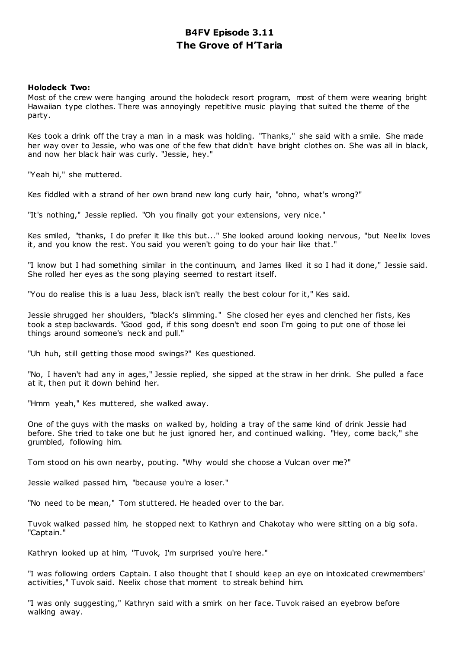# **B4FV Episode 3.11 The Grove of H'Taria**

## **Holodeck Two:**

Most of the crew were hanging around the holodeck resort program, most of them were wearing bright Hawaiian type clothes. There was annoyingly repetitive music playing that suited the theme of the party.

Kes took a drink off the tray a man in a mask was holding. "Thanks," she said with a smile. She made her way over to Jessie, who was one of the few that didn't have bright clothes on. She was all in black, and now her black hair was curly. "Jessie, hey."

"Yeah hi," she muttered.

Kes fiddled with a strand of her own brand new long curly hair, "ohno, what's wrong?"

"It's nothing," Jessie replied. "Oh you finally got your extensions, very nice."

Kes smiled, "thanks, I do prefer it like this but..." She looked around looking nervous, "but Neelix loves it, and you know the rest. You said you weren't going to do your hair like that."

"I know but I had something similar in the continuum, and James liked it so I had it done," Jessie said. She rolled her eyes as the song playing seemed to restart itself.

"You do realise this is a luau Jess, black isn't really the best colour for it," Kes said.

Jessie shrugged her shoulders, "black's slimming." She closed her eyes and clenched her fists, Kes took a step backwards. "Good god, if this song doesn't end soon I'm going to put one of those lei things around someone's neck and pull."

"Uh huh, still getting those mood swings?" Kes questioned.

"No, I haven't had any in ages," Jessie replied, she sipped at the straw in her drink. She pulled a face at it, then put it down behind her.

"Hmm yeah," Kes muttered, she walked away.

One of the guys with the masks on walked by, holding a tray of the same kind of drink Jessie had before. She tried to take one but he just ignored her, and continued walking. "Hey, come back," she grumbled, following him.

Tom stood on his own nearby, pouting. "Why would she choose a Vulcan over me?"

Jessie walked passed him, "because you're a loser."

"No need to be mean," Tom stuttered. He headed over to the bar.

Tuvok walked passed him, he stopped next to Kathryn and Chakotay who were sitting on a big sofa. "Captain."

Kathryn looked up at him, "Tuvok, I'm surprised you're here."

"I was following orders Captain. I also thought that I should keep an eye on intoxicated crewmembers' activities," Tuvok said. Neelix chose that moment to streak behind him.

"I was only suggesting," Kathryn said with a smirk on her face. Tuvok raised an eyebrow before walking away.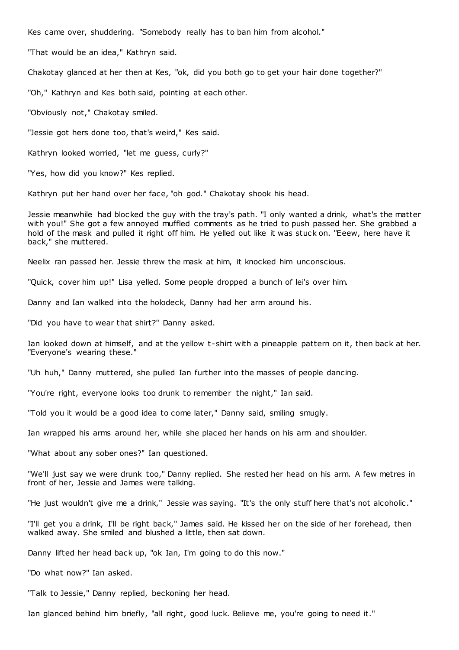Kes came over, shuddering. "Somebody really has to ban him from alcohol."

"That would be an idea," Kathryn said.

Chakotay glanced at her then at Kes, "ok, did you both go to get your hair done together?"

"Oh," Kathryn and Kes both said, pointing at each other.

"Obviously not," Chakotay smiled.

"Jessie got hers done too, that's weird," Kes said.

Kathryn looked worried, "let me guess, curly?"

"Yes, how did you know?" Kes replied.

Kathryn put her hand over her face, "oh god." Chakotay shook his head.

Jessie meanwhile had blocked the guy with the tray's path. "I only wanted a drink, what's the matter with you!" She got a few annoyed muffled comments as he tried to push passed her. She grabbed a hold of the mask and pulled it right off him. He yelled out like it was stuck on. "Eeew, here have it back," she muttered.

Neelix ran passed her. Jessie threw the mask at him, it knocked him unconscious.

"Quick, cover him up!" Lisa yelled. Some people dropped a bunch of lei's over him.

Danny and Ian walked into the holodeck, Danny had her arm around his.

"Did you have to wear that shirt?" Danny asked.

Ian looked down at himself, and at the yellow t-shirt with a pineapple pattern on it, then back at her. "Everyone's wearing these."

"Uh huh," Danny muttered, she pulled Ian further into the masses of people dancing.

"You're right, everyone looks too drunk to remember the night," Ian said.

"Told you it would be a good idea to come later," Danny said, smiling smugly.

Ian wrapped his arms around her, while she placed her hands on his arm and shoulder.

"What about any sober ones?" Ian questioned.

"We'll just say we were drunk too," Danny replied. She rested her head on his arm. A few metres in front of her, Jessie and James were talking.

"He just wouldn't give me a drink," Jessie was saying. "It's the only stuff here that's not alcoholic."

"I'll get you a drink, I'll be right back," James said. He kissed her on the side of her forehead, then walked away. She smiled and blushed a little, then sat down.

Danny lifted her head back up, "ok Ian, I'm going to do this now."

"Do what now?" Ian asked.

"Talk to Jessie," Danny replied, beckoning her head.

Ian glanced behind him briefly, "all right, good luck. Believe me, you're going to need it."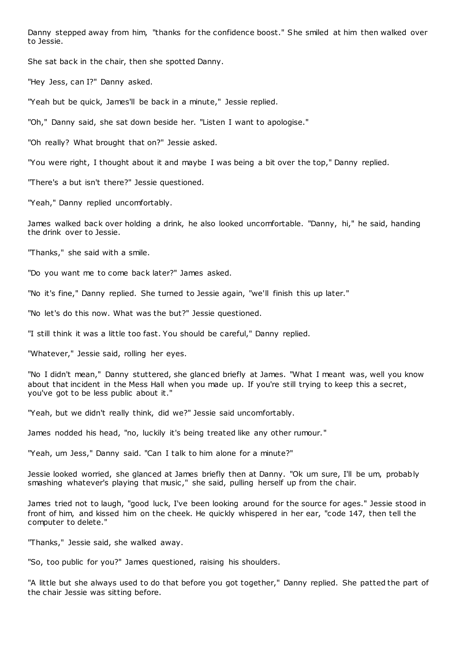Danny stepped away from him, "thanks for the confidence boost." She smiled at him then walked over to Jessie.

She sat back in the chair, then she spotted Danny.

"Hey Jess, can I?" Danny asked.

"Yeah but be quick, James'll be back in a minute," Jessie replied.

"Oh," Danny said, she sat down beside her. "Listen I want to apologise."

"Oh really? What brought that on?" Jessie asked.

"You were right, I thought about it and maybe I was being a bit over the top," Danny replied.

"There's a but isn't there?" Jessie questioned.

"Yeah," Danny replied uncomfortably.

James walked back over holding a drink, he also looked uncomfortable. "Danny, hi," he said, handing the drink over to Jessie.

"Thanks," she said with a smile.

"Do you want me to come back later?" James asked.

"No it's fine," Danny replied. She turned to Jessie again, "we'll finish this up later."

"No let's do this now. What was the but?" Jessie questioned.

"I still think it was a little too fast. You should be careful," Danny replied.

"Whatever," Jessie said, rolling her eyes.

"No I didn't mean," Danny stuttered, she glanced briefly at James. "What I meant was, well you know about that incident in the Mess Hall when you made up. If you're still trying to keep this a secret, you've got to be less public about it."

"Yeah, but we didn't really think, did we?" Jessie said uncomfortably.

James nodded his head, "no, luckily it's being treated like any other rumour."

"Yeah, um Jess," Danny said. "Can I talk to him alone for a minute?"

Jessie looked worried, she glanced at James briefly then at Danny. "Ok um sure, I'll be um, probably smashing whatever's playing that music ," she said, pulling herself up from the chair.

James tried not to laugh, "good luck, I've been looking around for the source for ages." Jessie stood in front of him, and kissed him on the cheek. He quickly whispered in her ear, "code 147, then tell the computer to delete."

"Thanks," Jessie said, she walked away.

"So, too public for you?" James questioned, raising his shoulders.

"A little but she always used to do that before you got together," Danny replied. She patted the part of the chair Jessie was sitting before.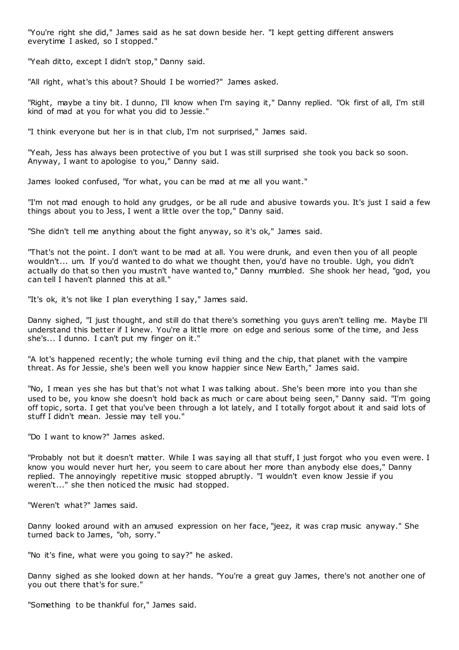"You're right she did," James said as he sat down beside her. "I kept getting different answers everytime I asked, so I stopped."

"Yeah ditto, except I didn't stop," Danny said.

"All right, what's this about? Should I be worried?" James asked.

"Right, maybe a tiny bit. I dunno, I'll know when I'm saying it," Danny replied. "Ok first of all, I'm still kind of mad at you for what you did to Jessie."

"I think everyone but her is in that club, I'm not surprised," James said.

"Yeah, Jess has always been protective of you but I was still surprised she took you back so soon. Anyway, I want to apologise to you," Danny said.

James looked confused, "for what, you can be mad at me all you want."

"I'm not mad enough to hold any grudges, or be all rude and abusive towards you. It's just I said a few things about you to Jess, I went a little over the top," Danny said.

"She didn't tell me anything about the fight anyway, so it's ok," James said.

"That's not the point. I don't want to be mad at all. You were drunk, and even then you of all people wouldn't... um. If you'd wanted to do what we thought then, you'd have no trouble. Ugh, you didn't actually do that so then you mustn't have wanted to," Danny mumbled. She shook her head, "god, you can tell I haven't planned this at all."

"It's ok, it's not like I plan everything I say," James said.

Danny sighed, "I just thought, and still do that there's something you guys aren't telling me. Maybe I'll understand this better if I knew. You're a little more on edge and serious some of the time, and Jess she's... I dunno. I can't put my finger on it."

"A lot's happened recently; the whole turning evil thing and the chip, that planet with the vampire threat. As for Jessie, she's been well you know happier since New Earth," James said.

"No, I mean yes she has but that's not what I was talking about. She's been more into you than she used to be, you know she doesn't hold back as much or care about being seen," Danny said. "I'm going off topic, sorta. I get that you've been through a lot lately, and I totally forgot about it and said lots of stuff I didn't mean. Jessie may tell you."

"Do I want to know?" James asked.

"Probably not but it doesn't matter. While I was saying all that stuff, I just forgot who you even were. I know you would never hurt her, you seem to care about her more than anybody else does," Danny replied. The annoyingly repetitive music stopped abruptly. "I wouldn't even know Jessie if you weren't..." she then noticed the music had stopped.

"Weren't what?" James said.

Danny looked around with an amused expression on her face, "jeez, it was crap music anyway." She turned back to James, "oh, sorry."

"No it's fine, what were you going to say?" he asked.

Danny sighed as she looked down at her hands. "You're a great guy James, there's not another one of you out there that's for sure."

"Something to be thankful for," James said.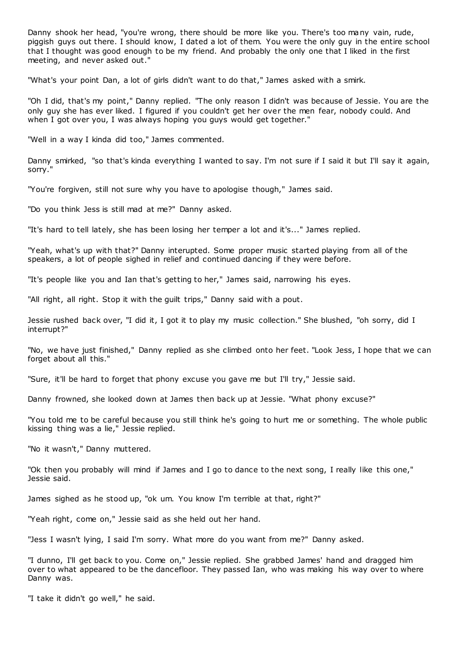Danny shook her head, "you're wrong, there should be more like you. There's too many vain, rude, piggish guys out there. I should know, I dated a lot of them. You were the only guy in the entire school that I thought was good enough to be my friend. And probably the only one that I liked in the first meeting, and never asked out."

"What's your point Dan, a lot of girls didn't want to do that," James asked with a smirk.

"Oh I did, that's my point," Danny replied. "The only reason I didn't was because of Jessie. You are the only guy she has ever liked. I figured if you couldn't get her over the men fear, nobody could. And when I got over you, I was always hoping you guys would get together."

"Well in a way I kinda did too," James commented.

Danny smirked, "so that's kinda everything I wanted to say. I'm not sure if I said it but I'll say it again, sorry.

"You're forgiven, still not sure why you have to apologise though," James said.

"Do you think Jess is still mad at me?" Danny asked.

"It's hard to tell lately, she has been losing her temper a lot and it's..." James replied.

"Yeah, what's up with that?" Danny interupted. Some proper music started playing from all of the speakers, a lot of people sighed in relief and continued dancing if they were before.

"It's people like you and Ian that's getting to her," James said, narrowing his eyes.

"All right, all right. Stop it with the guilt trips," Danny said with a pout.

Jessie rushed back over, "I did it, I got it to play my music collection." She blushed, "oh sorry, did I interrupt?"

"No, we have just finished," Danny replied as she climbed onto her feet. "Look Jess, I hope that we can forget about all this."

"Sure, it'll be hard to forget that phony excuse you gave me but I'll try," Jessie said.

Danny frowned, she looked down at James then back up at Jessie. "What phony excuse?"

"You told me to be careful because you still think he's going to hurt me or something. The whole public kissing thing was a lie," Jessie replied.

"No it wasn't," Danny muttered.

"Ok then you probably will mind if James and I go to dance to the next song, I really like this one," Jessie said.

James sighed as he stood up, "ok um. You know I'm terrible at that, right?"

"Yeah right, come on," Jessie said as she held out her hand.

"Jess I wasn't lying, I said I'm sorry. What more do you want from me?" Danny asked.

"I dunno, I'll get back to you. Come on," Jessie replied. She grabbed James' hand and dragged him over to what appeared to be the dancefloor. They passed Ian, who was making his way over to where Danny was.

"I take it didn't go well," he said.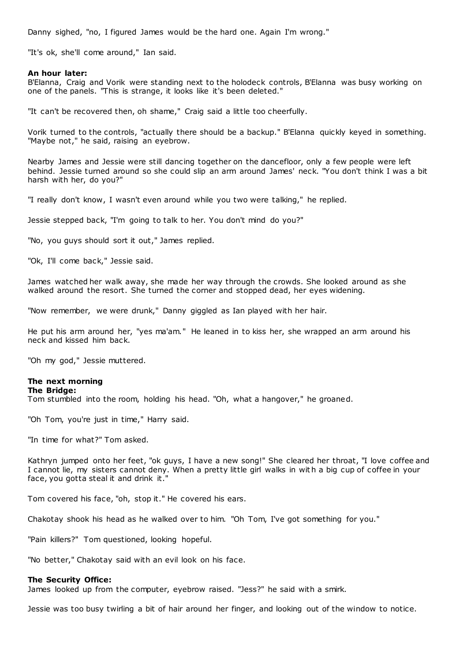Danny sighed, "no, I figured James would be the hard one. Again I'm wrong."

"It's ok, she'll come around," Ian said.

## **An hour later:**

B'Elanna, Craig and Vorik were standing next to the holodeck controls, B'Elanna was busy working on one of the panels. "This is strange, it looks like it's been deleted."

"It can't be recovered then, oh shame," Craig said a little too cheerfully.

Vorik turned to the controls, "actually there should be a backup." B'Elanna quickly keyed in something. "Maybe not," he said, raising an eyebrow.

Nearby James and Jessie were still dancing together on the dancefloor, only a few people were left behind. Jessie turned around so she could slip an arm around James' neck. "You don't think I was a bit harsh with her, do you?"

"I really don't know, I wasn't even around while you two were talking," he replied.

Jessie stepped back, "I'm going to talk to her. You don't mind do you?"

"No, you guys should sort it out," James replied.

"Ok, I'll come back," Jessie said.

James watched her walk away, she made her way through the crowds. She looked around as she walked around the resort. She turned the corner and stopped dead, her eyes widening.

"Now remember, we were drunk," Danny giggled as Ian played with her hair.

He put his arm around her, "yes ma'am." He leaned in to kiss her, she wrapped an arm around his neck and kissed him back.

"Oh my god," Jessie muttered.

## **The next morning**

### **The Bridge:**

Tom stumbled into the room, holding his head. "Oh, what a hangover," he groaned.

"Oh Tom, you're just in time," Harry said.

"In time for what?" Tom asked.

Kathryn jumped onto her feet, "ok guys, I have a new song!" She cleared her throat, "I love coffee and I cannot lie, my sisters cannot deny. When a pretty little girl walks in wit h a big cup of coffee in your face, you gotta steal it and drink it."

Tom covered his face, "oh, stop it." He covered his ears.

Chakotay shook his head as he walked over to him. "Oh Tom, I've got something for you."

"Pain killers?" Tom questioned, looking hopeful.

"No better," Chakotay said with an evil look on his face.

### **The Security Office:**

James looked up from the computer, eyebrow raised. "Jess?" he said with a smirk.

Jessie was too busy twirling a bit of hair around her finger, and looking out of the window to notice.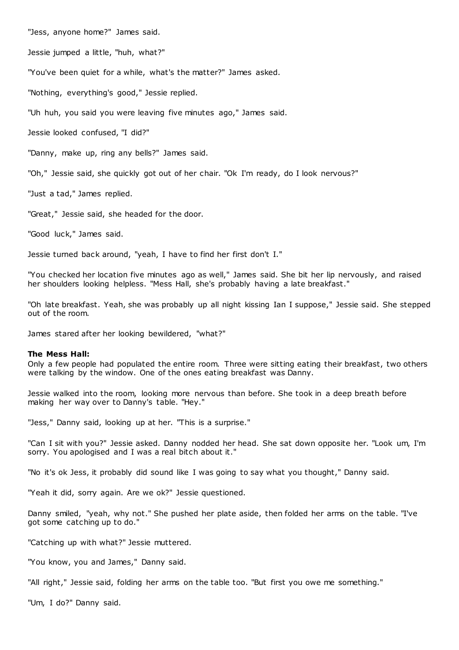"Jess, anyone home?" James said.

Jessie jumped a little, "huh, what?"

"You've been quiet for a while, what's the matter?" James asked.

"Nothing, everything's good," Jessie replied.

"Uh huh, you said you were leaving five minutes ago," James said.

Jessie looked confused, "I did?"

"Danny, make up, ring any bells?" James said.

"Oh," Jessie said, she quickly got out of her chair. "Ok I'm ready, do I look nervous?"

"Just a tad," James replied.

"Great," Jessie said, she headed for the door.

"Good luck," James said.

Jessie turned back around, "yeah, I have to find her first don't I."

"You checked her location five minutes ago as well," James said. She bit her lip nervously, and raised her shoulders looking helpless. "Mess Hall, she's probably having a late breakfast."

"Oh late breakfast. Yeah, she was probably up all night kissing Ian I suppose," Jessie said. She stepped out of the room.

James stared after her looking bewildered, "what?"

### **The Mess Hall:**

Only a few people had populated the entire room. Three were sitting eating their breakfast, two others were talking by the window. One of the ones eating breakfast was Danny.

Jessie walked into the room, looking more nervous than before. She took in a deep breath before making her way over to Danny's table. "Hey."

"Jess," Danny said, looking up at her. "This is a surprise."

"Can I sit with you?" Jessie asked. Danny nodded her head. She sat down opposite her. "Look um, I'm sorry. You apologised and I was a real bitch about it."

"No it's ok Jess, it probably did sound like I was going to say what you thought," Danny said.

"Yeah it did, sorry again. Are we ok?" Jessie questioned.

Danny smiled, "yeah, why not." She pushed her plate aside, then folded her arms on the table. "I've got some catching up to do."

"Catching up with what?" Jessie muttered.

"You know, you and James," Danny said.

"All right," Jessie said, folding her arms on the table too. "But first you owe me something."

"Um, I do?" Danny said.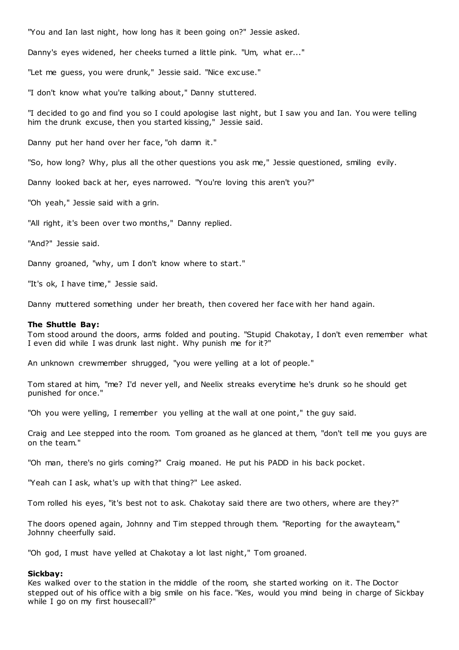"You and Ian last night, how long has it been going on?" Jessie asked.

Danny's eyes widened, her cheeks turned a little pink. "Um, what er..."

"Let me guess, you were drunk," Jessie said. "Nice exc use."

"I don't know what you're talking about," Danny stuttered.

"I decided to go and find you so I could apologise last night, but I saw you and Ian. You were telling him the drunk excuse, then you started kissing," Jessie said.

Danny put her hand over her face, "oh damn it."

"So, how long? Why, plus all the other questions you ask me," Jessie questioned, smiling evily.

Danny looked back at her, eyes narrowed. "You're loving this aren't you?"

"Oh yeah," Jessie said with a grin.

"All right, it's been over two months," Danny replied.

"And?" Jessie said.

Danny groaned, "why, um I don't know where to start."

"It's ok, I have time," Jessie said.

Danny muttered something under her breath, then covered her face with her hand again.

#### **The Shuttle Bay:**

Tom stood around the doors, arms folded and pouting. "Stupid Chakotay, I don't even remember what I even did while I was drunk last night. Why punish me for it?"

An unknown crewmember shrugged, "you were yelling at a lot of people."

Tom stared at him, "me? I'd never yell, and Neelix streaks everytime he's drunk so he should get punished for once.

"Oh you were yelling, I remember you yelling at the wall at one point," the guy said.

Craig and Lee stepped into the room. Tom groaned as he glanced at them, "don't tell me you guys are on the team."

"Oh man, there's no girls coming?" Craig moaned. He put his PADD in his back pocket.

"Yeah can I ask, what's up with that thing?" Lee asked.

Tom rolled his eyes, "it's best not to ask. Chakotay said there are two others, where are they?"

The doors opened again, Johnny and Tim stepped through them. "Reporting for the awayteam," Johnny cheerfully said.

"Oh god, I must have yelled at Chakotay a lot last night," Tom groaned.

#### **Sickbay:**

Kes walked over to the station in the middle of the room, she started working on it. The Doctor stepped out of his office with a big smile on his face. "Kes, would you mind being in charge of Sickbay while I go on my first housecall?"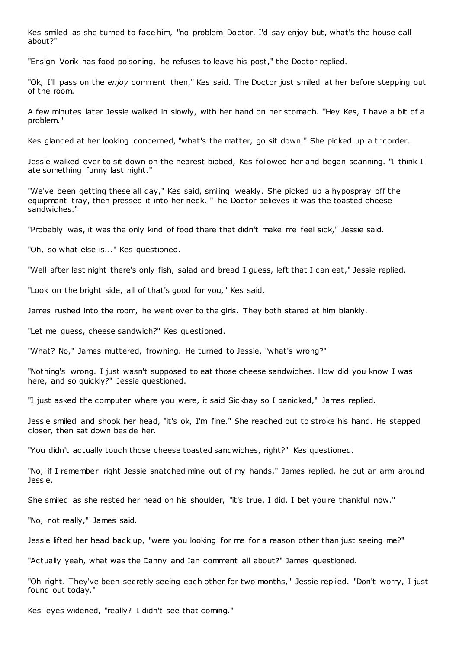Kes smiled as she turned to face him, "no problem Doctor. I'd say enjoy but, what's the house call about?"

"Ensign Vorik has food poisoning, he refuses to leave his post," the Doctor replied.

"Ok, I'll pass on the *enjoy* comment then," Kes said. The Doctor just smiled at her before stepping out of the room.

A few minutes later Jessie walked in slowly, with her hand on her stomach. "Hey Kes, I have a bit of a problem."

Kes glanced at her looking concerned, "what's the matter, go sit down." She picked up a tricorder.

Jessie walked over to sit down on the nearest biobed, Kes followed her and began scanning. "I think I ate something funny last night."

"We've been getting these all day," Kes said, smiling weakly. She picked up a hypospray off the equipment tray, then pressed it into her neck. "The Doctor believes it was the toasted cheese sandwiches."

"Probably was, it was the only kind of food there that didn't make me feel sick," Jessie said.

"Oh, so what else is..." Kes questioned.

"Well after last night there's only fish, salad and bread I guess, left that I can eat," Jessie replied.

"Look on the bright side, all of that's good for you," Kes said.

James rushed into the room, he went over to the girls. They both stared at him blankly.

"Let me guess, cheese sandwich?" Kes questioned.

"What? No," James muttered, frowning. He turned to Jessie, "what's wrong?"

"Nothing's wrong. I just wasn't supposed to eat those cheese sandwiches. How did you know I was here, and so quickly?" Jessie questioned.

"I just asked the computer where you were, it said Sickbay so I panicked," James replied.

Jessie smiled and shook her head, "it's ok, I'm fine." She reached out to stroke his hand. He stepped closer, then sat down beside her.

"You didn't actually touch those cheese toasted sandwiches, right?" Kes questioned.

"No, if I remember right Jessie snatched mine out of my hands," James replied, he put an arm around Jessie.

She smiled as she rested her head on his shoulder, "it's true, I did. I bet you're thankful now."

"No, not really," James said.

Jessie lifted her head back up, "were you looking for me for a reason other than just seeing me?"

"Actually yeah, what was the Danny and Ian comment all about?" James questioned.

"Oh right. They've been secretly seeing each other for two months," Jessie replied. "Don't worry, I just found out today."

Kes' eyes widened, "really? I didn't see that coming."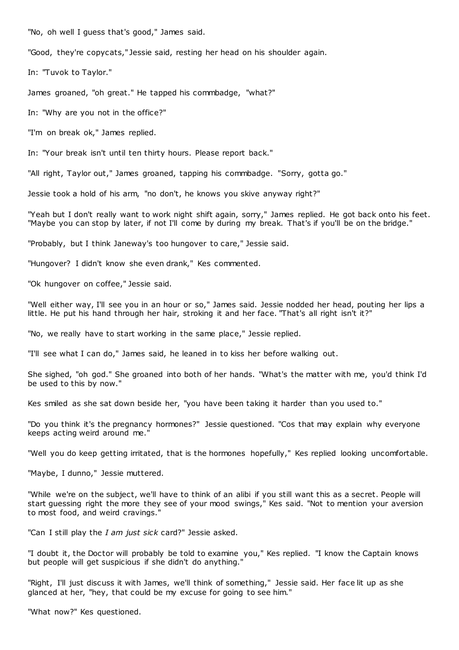"No, oh well I guess that's good," James said.

"Good, they're copycats," Jessie said, resting her head on his shoulder again.

In: "Tuvok to Taylor."

James groaned, "oh great." He tapped his commbadge, "what?"

In: "Why are you not in the office?"

"I'm on break ok," James replied.

In: "Your break isn't until ten thirty hours. Please report back."

"All right, Taylor out," James groaned, tapping his commbadge. "Sorry, gotta go."

Jessie took a hold of his arm, "no don't, he knows you skive anyway right?"

"Yeah but I don't really want to work night shift again, sorry," James replied. He got back onto his feet. "Maybe you can stop by later, if not I'll come by during my break. That's if you'll be on the bridge."

"Probably, but I think Janeway's too hungover to care," Jessie said.

"Hungover? I didn't know she even drank," Kes commented.

"Ok hungover on coffee," Jessie said.

"Well either way, I'll see you in an hour or so," James said. Jessie nodded her head, pouting her lips a little. He put his hand through her hair, stroking it and her face. "That's all right isn't it?"

"No, we really have to start working in the same place," Jessie replied.

"I'll see what I can do," James said, he leaned in to kiss her before walking out.

She sighed, "oh god." She groaned into both of her hands. "What's the matter with me, you'd think I'd be used to this by now."

Kes smiled as she sat down beside her, "you have been taking it harder than you used to."

"Do you think it's the pregnancy hormones?" Jessie questioned. "Cos that may explain why everyone keeps acting weird around me."

"Well you do keep getting irritated, that is the hormones hopefully," Kes replied looking uncomfortable.

"Maybe, I dunno," Jessie muttered.

"While we're on the subject, we'll have to think of an alibi if you still want this as a secret. People will start guessing right the more they see of your mood swings," Kes said. "Not to mention your aversion to most food, and weird cravings."

"Can I still play the *I am just sick* card?" Jessie asked.

"I doubt it, the Doctor will probably be told to examine you," Kes replied. "I know the Captain knows but people will get suspicious if she didn't do anything."

"Right, I'll just discuss it with James, we'll think of something," Jessie said. Her face lit up as she glanced at her, "hey, that could be my excuse for going to see him."

"What now?" Kes questioned.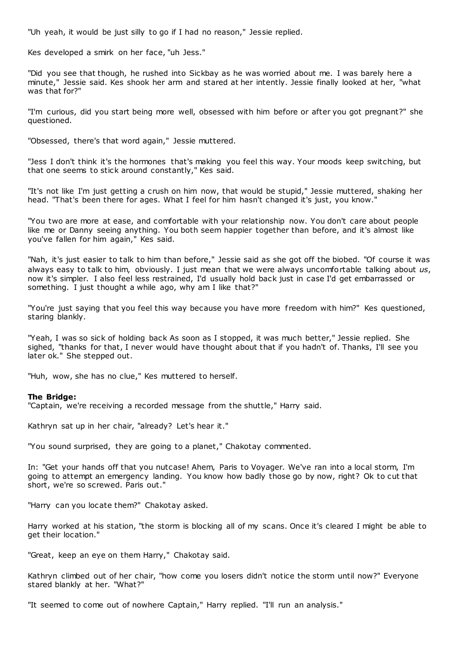"Uh yeah, it would be just silly to go if I had no reason," Jessie replied.

Kes developed a smirk on her face, "uh Jess."

"Did you see that though, he rushed into Sickbay as he was worried about me. I was barely here a minute," Jessie said. Kes shook her arm and stared at her intently. Jessie finally looked at her, "what was that for?"

"I'm curious, did you start being more well, obsessed with him before or after you got pregnant?" she questioned.

"Obsessed, there's that word again," Jessie muttered.

"Jess I don't think it's the hormones that's making you feel this way. Your moods keep switching, but that one seems to stick around constantly," Kes said.

"It's not like I'm just getting a crush on him now, that would be stupid," Jessie muttered, shaking her head. "That's been there for ages. What I feel for him hasn't changed it's just, you know.

"You two are more at ease, and comfortable with your relationship now. You don't care about people like me or Danny seeing anything. You both seem happier together than before, and it's almost like you've fallen for him again," Kes said.

"Nah, it's just easier to talk to him than before," Jessie said as she got off the biobed. "Of course it was always easy to talk to him, obviously. I just mean that we were always uncomfortable talking about *us*, now it's simpler. I also feel less restrained, I'd usually hold back just in case I'd get embarrassed or something. I just thought a while ago, why am I like that?"

"You're just saying that you feel this way because you have more f reedom with him?" Kes questioned, staring blankly.

"Yeah, I was so sick of holding back As soon as I stopped, it was much better," Jessie replied. She sighed, "thanks for that, I never would have thought about that if you hadn't of. Thanks, I'll see you later ok." She stepped out.

"Huh, wow, she has no clue," Kes muttered to herself.

## **The Bridge:**

"Captain, we're receiving a recorded message from the shuttle," Harry said.

Kathryn sat up in her chair, "already? Let's hear it."

"You sound surprised, they are going to a planet," Chakotay commented.

In: "Get your hands off that you nutcase! Ahem, Paris to Voyager. We've ran into a local storm, I'm going to attempt an emergency landing. You know how badly those go by now, right? Ok to cut that short, we're so screwed. Paris out."

"Harry can you locate them?" Chakotay asked.

Harry worked at his station, "the storm is blocking all of my scans. Once it's cleared I might be able to get their location."

"Great, keep an eye on them Harry," Chakotay said.

Kathryn climbed out of her chair, "how come you losers didn't notice the storm until now?" Everyone stared blankly at her. "What?"

"It seemed to come out of nowhere Captain," Harry replied. "I'll run an analysis."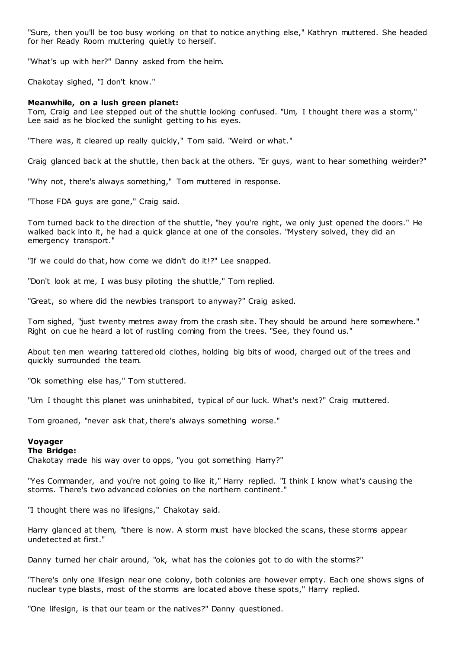"Sure, then you'll be too busy working on that to notice anything else," Kathryn muttered. She headed for her Ready Room muttering quietly to herself.

"What's up with her?" Danny asked from the helm.

Chakotay sighed, "I don't know."

## **Meanwhile, on a lush green planet:**

Tom, Craig and Lee stepped out of the shuttle looking confused. "Um, I thought there was a storm," Lee said as he blocked the sunlight getting to his eyes.

"There was, it cleared up really quickly," Tom said. "Weird or what."

Craig glanced back at the shuttle, then back at the others. "Er guys, want to hear something weirder?"

"Why not, there's always something," Tom muttered in response.

"Those FDA guys are gone," Craig said.

Tom turned back to the direction of the shuttle, "hey you're right, we only just opened the doors." He walked back into it, he had a quick glance at one of the consoles. "Mystery solved, they did an emergency transport."

"If we could do that, how come we didn't do it!?" Lee snapped.

"Don't look at me, I was busy piloting the shuttle," Tom replied.

"Great, so where did the newbies transport to anyway?" Craig asked.

Tom sighed, "just twenty metres away from the crash site. They should be around here somewhere." Right on cue he heard a lot of rustling coming from the trees. "See, they found us."

About ten men wearing tattered old clothes, holding big bits of wood, charged out of the trees and quickly surrounded the team.

"Ok something else has," Tom stuttered.

"Um I thought this planet was uninhabited, typical of our luck. What's next?" Craig muttered.

Tom groaned, "never ask that, there's always something worse."

## **Voyager**

## **The Bridge:**

Chakotay made his way over to opps, "you got something Harry?"

"Yes Commander, and you're not going to like it," Harry replied. "I think I know what's causing the storms. There's two advanced colonies on the northern continent."

"I thought there was no lifesigns," Chakotay said.

Harry glanced at them, "there is now. A storm must have blocked the scans, these storms appear undetected at first."

Danny turned her chair around, "ok, what has the colonies got to do with the storms?"

"There's only one lifesign near one colony, both colonies are however empty. Each one shows signs of nuclear type blasts, most of the storms are located above these spots," Harry replied.

"One lifesign, is that our team or the natives?" Danny questioned.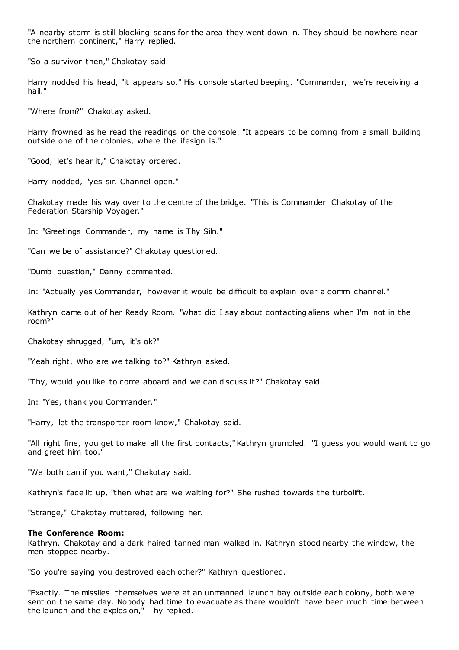"A nearby storm is still blocking scans for the area they went down in. They should be nowhere near the northern continent," Harry replied.

"So a survivor then," Chakotay said.

Harry nodded his head, "it appears so." His console started beeping. "Commander, we're receiving a hail."

"Where from?" Chakotay asked.

Harry frowned as he read the readings on the console. "It appears to be coming from a small building outside one of the colonies, where the lifesign is."

"Good, let's hear it," Chakotay ordered.

Harry nodded, "yes sir. Channel open."

Chakotay made his way over to the centre of the bridge. "This is Commander Chakotay of the Federation Starship Voyager."

In: "Greetings Commander, my name is Thy Siln."

"Can we be of assistance?" Chakotay questioned.

"Dumb question," Danny commented.

In: "Actually yes Commander, however it would be difficult to explain over a comm channel."

Kathryn came out of her Ready Room, "what did I say about contacting aliens when I'm not in the room?"

Chakotay shrugged, "um, it's ok?"

"Yeah right. Who are we talking to?" Kathryn asked.

"Thy, would you like to come aboard and we can discuss it?" Chakotay said.

In: "Yes, thank you Commander."

"Harry, let the transporter room know," Chakotay said.

"All right fine, you get to make all the first contacts," Kathryn grumbled. "I guess you would want to go and greet him too."

"We both can if you want," Chakotay said.

Kathryn's face lit up, "then what are we waiting for?" She rushed towards the turbolift.

"Strange," Chakotay muttered, following her.

### **The Conference Room:**

Kathryn, Chakotay and a dark haired tanned man walked in, Kathryn stood nearby the window, the men stopped nearby.

"So you're saying you destroyed each other?" Kathryn questioned.

"Exactly. The missiles themselves were at an unmanned launch bay outside each colony, both were sent on the same day. Nobody had time to evacuate as there wouldn't have been much time between the launch and the explosion," Thy replied.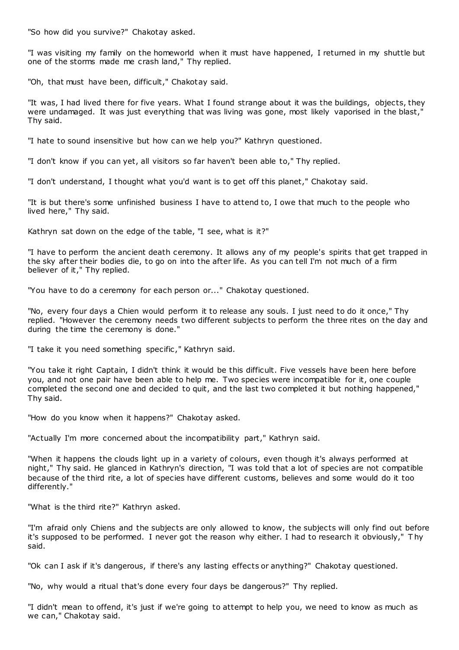"So how did you survive?" Chakotay asked.

"I was visiting my family on the homeworld when it must have happened, I returned in my shuttle but one of the storms made me crash land," Thy replied.

"Oh, that must have been, difficult," Chakotay said.

"It was, I had lived there for five years. What I found strange about it was the buildings, objects, they were undamaged. It was just everything that was living was gone, most likely vaporised in the blast," Thy said.

"I hate to sound insensitive but how can we help you?" Kathryn questioned.

"I don't know if you can yet, all visitors so far haven't been able to," Thy replied.

"I don't understand, I thought what you'd want is to get off this planet," Chakotay said.

"It is but there's some unfinished business I have to attend to, I owe that much to the people who lived here," Thy said.

Kathryn sat down on the edge of the table, "I see, what is it?"

"I have to perform the ancient death ceremony. It allows any of my people's spirits that get trapped in the sky after their bodies die, to go on into the after life. As you can tell I'm not much of a firm believer of it," Thy replied.

"You have to do a ceremony for each person or..." Chakotay questioned.

"No, every four days a Chien would perform it to release any souls. I just need to do it once," Thy replied. "However the ceremony needs two different subjects to perform the three rites on the day and during the time the ceremony is done."

"I take it you need something specific ," Kathryn said.

"You take it right Captain, I didn't think it would be this difficult. Five vessels have been here before you, and not one pair have been able to help me. Two species were incompatible for it, one couple completed the second one and decided to quit, and the last two completed it but nothing happened," Thy said.

"How do you know when it happens?" Chakotay asked.

"Actually I'm more concerned about the incompatibility part," Kathryn said.

"When it happens the clouds light up in a variety of colours, even though it's always performed at night," Thy said. He glanced in Kathryn's direction, "I was told that a lot of species are not compatible because of the third rite, a lot of species have different customs, believes and some would do it too differently."

"What is the third rite?" Kathryn asked.

"I'm afraid only Chiens and the subjects are only allowed to know, the subjects will only find out before it's supposed to be performed. I never got the reason why either. I had to research it obviously," T hy said.

"Ok can I ask if it's dangerous, if there's any lasting effects or anything?" Chakotay questioned.

"No, why would a ritual that's done every four days be dangerous?" Thy replied.

"I didn't mean to offend, it's just if we're going to attempt to help you, we need to know as much as we can," Chakotay said.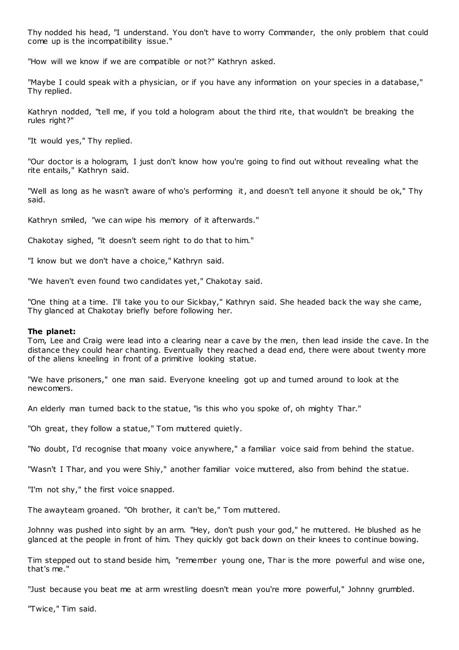Thy nodded his head, "I understand. You don't have to worry Commander, the only problem that could come up is the incompatibility issue."

"How will we know if we are compatible or not?" Kathryn asked.

"Maybe I could speak with a physician, or if you have any information on your species in a database," Thy replied.

Kathryn nodded, "tell me, if you told a hologram about the third rite, that wouldn't be breaking the rules right?"

"It would yes," Thy replied.

"Our doctor is a hologram, I just don't know how you're going to find out without revealing what the rite entails," Kathryn said.

"Well as long as he wasn't aware of who's performing it, and doesn't tell anyone it should be ok," Thy said.

Kathryn smiled, "we can wipe his memory of it afterwards."

Chakotay sighed, "it doesn't seem right to do that to him."

"I know but we don't have a choice," Kathryn said.

"We haven't even found two candidates yet," Chakotay said.

"One thing at a time. I'll take you to our Sickbay," Kathryn said. She headed back the way she came, Thy glanced at Chakotay briefly before following her.

### **The planet:**

Tom, Lee and Craig were lead into a clearing near a cave by the men, then lead inside the cave. In the distance they could hear chanting. Eventually they reached a dead end, there were about twenty more of the aliens kneeling in front of a primitive looking statue.

"We have prisoners," one man said. Everyone kneeling got up and turned around to look at the newcomers.

An elderly man turned back to the statue, "is this who you spoke of, oh mighty Thar."

"Oh great, they follow a statue," Tom muttered quietly.

"No doubt, I'd recognise that moany voice anywhere," a familiar voice said from behind the statue.

"Wasn't I Thar, and you were Shiy," another familiar voice muttered, also from behind the statue.

"I'm not shy," the first voice snapped.

The awayteam groaned. "Oh brother, it can't be," Tom muttered.

Johnny was pushed into sight by an arm. "Hey, don't push your god," he muttered. He blushed as he glanced at the people in front of him. They quickly got back down on their knees to continue bowing.

Tim stepped out to stand beside him, "remember young one, Thar is the more powerful and wise one, that's me."

"Just because you beat me at arm wrestling doesn't mean you're more powerful," Johnny grumbled.

"Twice," Tim said.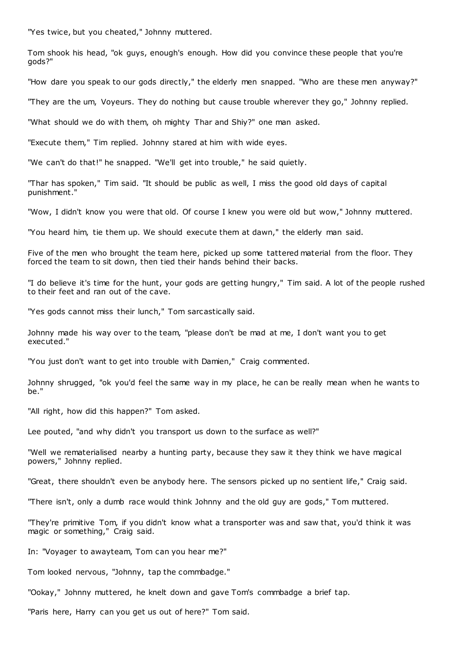"Yes twice, but you cheated," Johnny muttered.

Tom shook his head, "ok guys, enough's enough. How did you convince these people that you're gods?"

"How dare you speak to our gods directly," the elderly men snapped. "Who are these men anyway?"

"They are the um, Voyeurs. They do nothing but cause trouble wherever they go," Johnny replied.

"What should we do with them, oh mighty Thar and Shiy?" one man asked.

"Execute them," Tim replied. Johnny stared at him with wide eyes.

"We can't do that!" he snapped. "We'll get into trouble," he said quietly.

"Thar has spoken," Tim said. "It should be public as well, I miss the good old days of capital punishment."

"Wow, I didn't know you were that old. Of course I knew you were old but wow," Johnny muttered.

"You heard him, tie them up. We should execute them at dawn," the elderly man said.

Five of the men who brought the team here, picked up some tattered material from the floor. They forced the team to sit down, then tied their hands behind their backs.

"I do believe it's time for the hunt, your gods are getting hungry," Tim said. A lot of the people rushed to their feet and ran out of the cave.

"Yes gods cannot miss their lunch," Tom sarcastically said.

Johnny made his way over to the team, "please don't be mad at me, I don't want you to get executed."

"You just don't want to get into trouble with Damien," Craig commented.

Johnny shrugged, "ok you'd feel the same way in my place, he can be really mean when he wants to be."

"All right, how did this happen?" Tom asked.

Lee pouted, "and why didn't you transport us down to the surface as well?"

"Well we rematerialised nearby a hunting party, because they saw it they think we have magical powers," Johnny replied.

"Great, there shouldn't even be anybody here. The sensors picked up no sentient life," Craig said.

"There isn't, only a dumb race would think Johnny and the old guy are gods," Tom muttered.

"They're primitive Tom, if you didn't know what a transporter was and saw that, you'd think it was magic or something," Craig said.

In: "Voyager to awayteam, Tom can you hear me?"

Tom looked nervous, "Johnny, tap the commbadge."

"Ookay," Johnny muttered, he knelt down and gave Tom's commbadge a brief tap.

"Paris here, Harry can you get us out of here?" Tom said.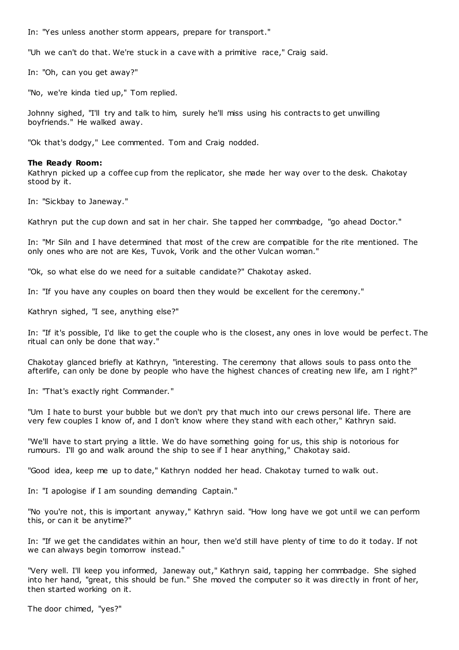In: "Yes unless another storm appears, prepare for transport."

"Uh we can't do that. We're stuck in a cave with a primitive race," Craig said.

In: "Oh, can you get away?"

"No, we're kinda tied up," Tom replied.

Johnny sighed, "I'll try and talk to him, surely he'll miss using his contracts to get unwilling boyfriends." He walked away.

"Ok that's dodgy," Lee commented. Tom and Craig nodded.

### **The Ready Room:**

Kathryn picked up a coffee cup from the replicator, she made her way over to the desk. Chakotay stood by it.

In: "Sickbay to Janeway."

Kathryn put the cup down and sat in her chair. She tapped her commbadge, "go ahead Doctor."

In: "Mr Siln and I have determined that most of the crew are compatible for the rite mentioned. The only ones who are not are Kes, Tuvok, Vorik and the other Vulcan woman."

"Ok, so what else do we need for a suitable candidate?" Chakotay asked.

In: "If you have any couples on board then they would be excellent for the ceremony."

Kathryn sighed, "I see, anything else?"

In: "If it's possible, I'd like to get the couple who is the closest, any ones in love would be perfec t. The ritual can only be done that way."

Chakotay glanced briefly at Kathryn, "interesting. The ceremony that allows souls to pass onto the afterlife, can only be done by people who have the highest chances of creating new life, am I right?"

In: "That's exactly right Commander."

"Um I hate to burst your bubble but we don't pry that much into our crews personal life. There are very few couples I know of, and I don't know where they stand with each other," Kathryn said.

"We'll have to start prying a little. We do have something going for us, this ship is notorious for rumours. I'll go and walk around the ship to see if I hear anything," Chakotay said.

"Good idea, keep me up to date," Kathryn nodded her head. Chakotay turned to walk out.

In: "I apologise if I am sounding demanding Captain."

"No you're not, this is important anyway," Kathryn said. "How long have we got until we can perform this, or can it be anytime?"

In: "If we get the candidates within an hour, then we'd still have plenty of time to do it today. If not we can always begin tomorrow instead."

"Very well. I'll keep you informed, Janeway out," Kathryn said, tapping her commbadge. She sighed into her hand, "great, this should be fun." She moved the computer so it was directly in front of her, then started working on it.

The door chimed, "yes?"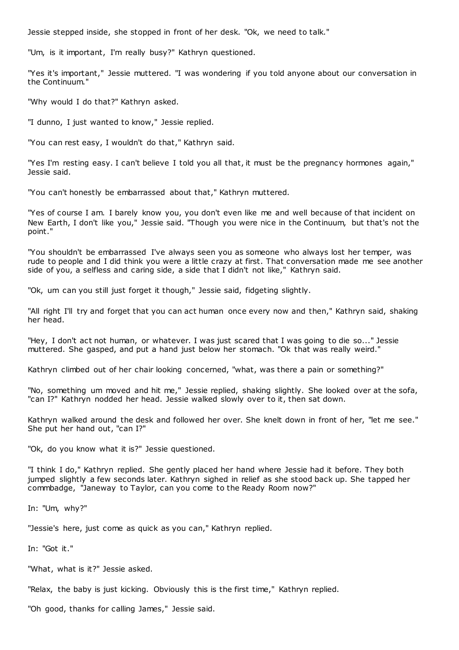Jessie stepped inside, she stopped in front of her desk. "Ok, we need to talk."

"Um, is it important, I'm really busy?" Kathryn questioned.

"Yes it's important," Jessie muttered. "I was wondering if you told anyone about our conversation in the Continuum."

"Why would I do that?" Kathryn asked.

"I dunno, I just wanted to know," Jessie replied.

"You can rest easy, I wouldn't do that," Kathryn said.

"Yes I'm resting easy. I can't believe I told you all that, it must be the pregnancy hormones again," Jessie said.

"You can't honestly be embarrassed about that," Kathryn muttered.

"Yes of course I am. I barely know you, you don't even like me and well because of that incident on New Earth, I don't like you," Jessie said. "Though you were nice in the Continuum, but that's not the point."

"You shouldn't be embarrassed I've always seen you as someone who always lost her temper, was rude to people and I did think you were a little crazy at first. That conversation made me see another side of you, a selfless and caring side, a side that I didn't not like," Kathryn said.

"Ok, um can you still just forget it though," Jessie said, fidgeting slightly.

"All right I'll try and forget that you can act human once every now and then," Kathryn said, shaking her head.

"Hey, I don't act not human, or whatever. I was just scared that I was going to die so..." Jessie muttered. She gasped, and put a hand just below her stomach. "Ok that was really weird."

Kathryn climbed out of her chair looking concerned, "what, was there a pain or something?"

"No, something um moved and hit me," Jessie replied, shaking slightly. She looked over at the sofa, "can I?" Kathryn nodded her head. Jessie walked slowly over to it, then sat down.

Kathryn walked around the desk and followed her over. She knelt down in front of her, "let me see." She put her hand out, "can I?"

"Ok, do you know what it is?" Jessie questioned.

"I think I do," Kathryn replied. She gently placed her hand where Jessie had it before. They both jumped slightly a few seconds later. Kathryn sighed in relief as she stood back up. She tapped her commbadge, "Janeway to Taylor, can you come to the Ready Room now?"

In: "Um, why?"

"Jessie's here, just come as quick as you can," Kathryn replied.

In: "Got it."

"What, what is it?" Jessie asked.

"Relax, the baby is just kicking. Obviously this is the first time," Kathryn replied.

"Oh good, thanks for calling James," Jessie said.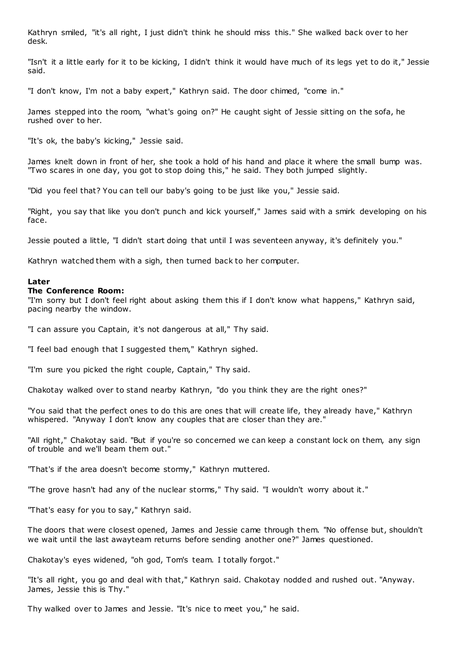Kathryn smiled, "it's all right, I just didn't think he should miss this." She walked back over to her desk.

"Isn't it a little early for it to be kicking, I didn't think it would have much of its legs yet to do it," Jessie said.

"I don't know, I'm not a baby expert," Kathryn said. The door chimed, "come in."

James stepped into the room, "what's going on?" He caught sight of Jessie sitting on the sofa, he rushed over to her.

"It's ok, the baby's kicking," Jessie said.

James knelt down in front of her, she took a hold of his hand and place it where the small bump was. "Two scares in one day, you got to stop doing this," he said. They both jumped slightly.

"Did you feel that? You can tell our baby's going to be just like you," Jessie said.

"Right, you say that like you don't punch and kick yourself," James said with a smirk developing on his face.

Jessie pouted a little, "I didn't start doing that until I was seventeen anyway, it's definitely you."

Kathryn watched them with a sigh, then turned back to her computer.

## **Later**

## **The Conference Room:**

"I'm sorry but I don't feel right about asking them this if I don't know what happens," Kathryn said, pacing nearby the window.

"I can assure you Captain, it's not dangerous at all," Thy said.

"I feel bad enough that I suggested them," Kathryn sighed.

"I'm sure you picked the right couple, Captain," Thy said.

Chakotay walked over to stand nearby Kathryn, "do you think they are the right ones?"

"You said that the perfect ones to do this are ones that will create life, they already have," Kathryn whispered. "Anyway I don't know any couples that are closer than they are."

"All right," Chakotay said. "But if you're so concerned we can keep a constant lock on them, any sign of trouble and we'll beam them out."

"That's if the area doesn't become stormy," Kathryn muttered.

"The grove hasn't had any of the nuclear storms," Thy said. "I wouldn't worry about it."

"That's easy for you to say," Kathryn said.

The doors that were closest opened, James and Jessie came through them. "No offense but, shouldn't we wait until the last awayteam returns before sending another one?" James questioned.

Chakotay's eyes widened, "oh god, Tom's team. I totally forgot."

"It's all right, you go and deal with that," Kathryn said. Chakotay nodded and rushed out. "Anyway. James, Jessie this is Thy."

Thy walked over to James and Jessie. "It's nice to meet you," he said.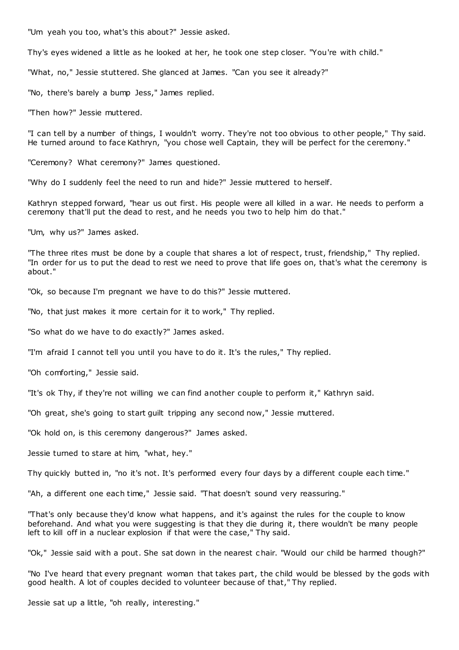"Um yeah you too, what's this about?" Jessie asked.

Thy's eyes widened a little as he looked at her, he took one step closer. "You're with child."

"What, no," Jessie stuttered. She glanced at James. "Can you see it already?"

"No, there's barely a bump Jess," James replied.

"Then how?" Jessie muttered.

"I can tell by a number of things, I wouldn't worry. They're not too obvious to other people," Thy said. He turned around to face Kathryn, "you chose well Captain, they will be perfect for the ceremony."

"Ceremony? What ceremony?" James questioned.

"Why do I suddenly feel the need to run and hide?" Jessie muttered to herself.

Kathryn stepped forward, "hear us out first. His people were all killed in a war. He needs to perform a ceremony that'll put the dead to rest, and he needs you two to help him do that."

"Um, why us?" James asked.

"The three rites must be done by a couple that shares a lot of respect, trust, friendship," Thy replied. "In order for us to put the dead to rest we need to prove that life goes on, that's what the ceremony is about."

"Ok, so because I'm pregnant we have to do this?" Jessie muttered.

"No, that just makes it more certain for it to work," Thy replied.

"So what do we have to do exactly?" James asked.

"I'm afraid I cannot tell you until you have to do it. It's the rules," Thy replied.

"Oh comforting," Jessie said.

"It's ok Thy, if they're not willing we can find another couple to perform it," Kathryn said.

"Oh great, she's going to start guilt tripping any second now," Jessie muttered.

"Ok hold on, is this ceremony dangerous?" James asked.

Jessie turned to stare at him, "what, hey."

Thy quickly butted in, "no it's not. It's performed every four days by a different couple each time."

"Ah, a different one each time," Jessie said. "That doesn't sound very reassuring."

"That's only because they'd know what happens, and it's against the rules for the couple to know beforehand. And what you were suggesting is that they die during it, there wouldn't be many people left to kill off in a nuclear explosion if that were the case," Thy said.

"Ok," Jessie said with a pout. She sat down in the nearest c hair. "Would our child be harmed though?"

"No I've heard that every pregnant woman that takes part, the child would be blessed by the gods with good health. A lot of couples decided to volunteer because of that," Thy replied.

Jessie sat up a little, "oh really, interesting."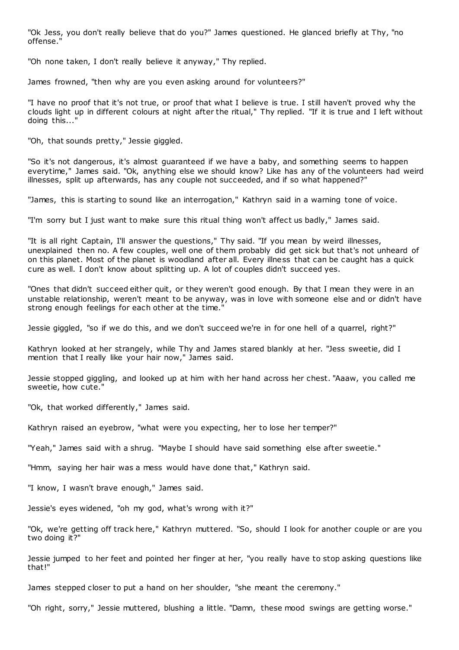"Ok Jess, you don't really believe that do you?" James questioned. He glanced briefly at Thy, "no offense."

"Oh none taken, I don't really believe it anyway," Thy replied.

James frowned, "then why are you even asking around for volunteers?"

"I have no proof that it's not true, or proof that what I believe is true. I still haven't proved why the clouds light up in different colours at night after the ritual," Thy replied. "If it is true and I left without doing this...'

"Oh, that sounds pretty," Jessie giggled.

"So it's not dangerous, it's almost guaranteed if we have a baby, and something seems to happen everytime," James said. "Ok, anything else we should know? Like has any of the volunteers had weird illnesses, split up afterwards, has any couple not succeeded, and if so what happened?"

"James, this is starting to sound like an interrogation," Kathryn said in a warning tone of voice.

"I'm sorry but I just want to make sure this ritual thing won't affect us badly," James said.

"It is all right Captain, I'll answer the questions," Thy said. "If you mean by weird illnesses, unexplained then no. A few couples, well one of them probably did get sick but that's not unheard of on this planet. Most of the planet is woodland after all. Every illness that can be caught has a quick cure as well. I don't know about splitting up. A lot of couples didn't succeed yes.

"Ones that didn't succeed either quit, or they weren't good enough. By that I mean they were in an unstable relationship, weren't meant to be anyway, was in love with someone else and or didn't have strong enough feelings for each other at the time."

Jessie giggled, "so if we do this, and we don't succeed we're in for one hell of a quarrel, right?"

Kathryn looked at her strangely, while Thy and James stared blankly at her. "Jess sweetie, did I mention that I really like your hair now," James said.

Jessie stopped giggling, and looked up at him with her hand across her chest. "Aaaw, you called me sweetie, how cute."

"Ok, that worked differently," James said.

Kathryn raised an eyebrow, "what were you expecting, her to lose her temper?"

"Yeah," James said with a shrug. "Maybe I should have said something else after sweetie."

"Hmm, saying her hair was a mess would have done that," Kathryn said.

"I know, I wasn't brave enough," James said.

Jessie's eyes widened, "oh my god, what's wrong with it?"

"Ok, we're getting off track here," Kathryn muttered. "So, should I look for another couple or are you two doing it?"

Jessie jumped to her feet and pointed her finger at her, "you really have to stop asking questions like that!"

James stepped closer to put a hand on her shoulder, "she meant the ceremony."

"Oh right, sorry," Jessie muttered, blushing a little. "Damn, these mood swings are getting worse."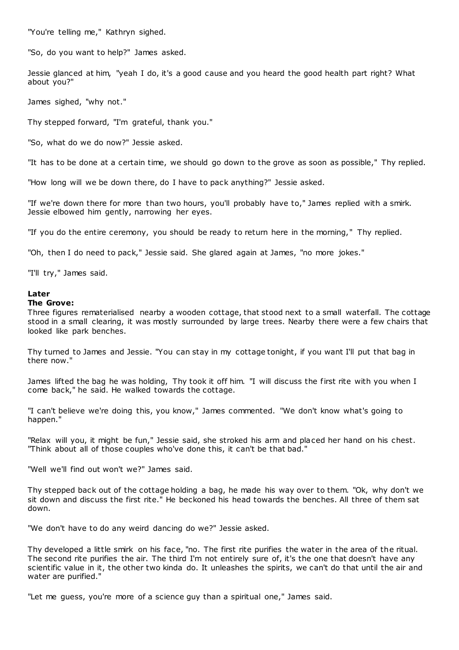"You're telling me," Kathryn sighed.

"So, do you want to help?" James asked.

Jessie glanced at him, "yeah I do, it's a good cause and you heard the good health part right? What about you?"

James sighed, "why not."

Thy stepped forward, "I'm grateful, thank you."

"So, what do we do now?" Jessie asked.

"It has to be done at a certain time, we should go down to the grove as soon as possible," Thy replied.

"How long will we be down there, do I have to pack anything?" Jessie asked.

"If we're down there for more than two hours, you'll probably have to," James replied with a smirk. Jessie elbowed him gently, narrowing her eyes.

"If you do the entire ceremony, you should be ready to return here in the morning," Thy replied.

"Oh, then I do need to pack," Jessie said. She glared again at James, "no more jokes."

"I'll try," James said.

## **Later**

## **The Grove:**

Three figures rematerialised nearby a wooden cottage, that stood next to a small waterfall. The cottage stood in a small clearing, it was mostly surrounded by large trees. Nearby there were a few chairs that looked like park benches.

Thy turned to James and Jessie. "You can stay in my cottage tonight, if you want I'll put that bag in there now."

James lifted the bag he was holding, Thy took it off him. "I will discuss the first rite with you when I come back," he said. He walked towards the cottage.

"I can't believe we're doing this, you know," James commented. "We don't know what's going to happen."

"Relax will you, it might be fun," Jessie said, she stroked his arm and placed her hand on his chest. "Think about all of those couples who've done this, it can't be that bad."

"Well we'll find out won't we?" James said.

Thy stepped back out of the cottage holding a bag, he made his way over to them. "Ok, why don't we sit down and discuss the first rite." He beckoned his head towards the benches. All three of them sat down.

"We don't have to do any weird dancing do we?" Jessie asked.

Thy developed a little smirk on his face, "no. The first rite purifies the water in the area of the ritual. The second rite purifies the air. The third I'm not entirely sure of, it's the one that doesn't have any scientific value in it, the other two kinda do. It unleashes the spirits, we can't do that until the air and water are purified."

"Let me guess, you're more of a science guy than a spiritual one," James said.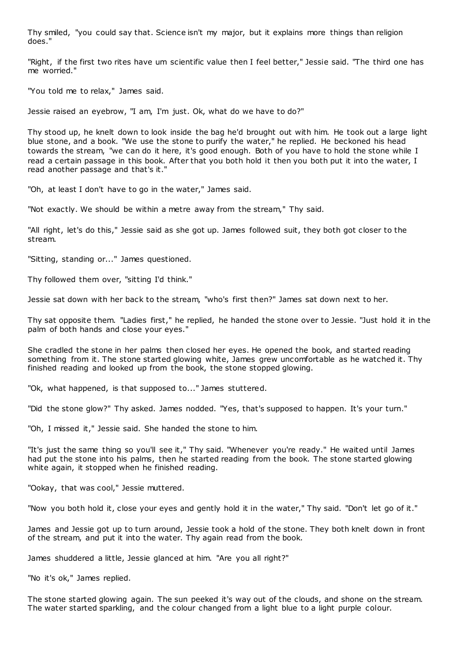Thy smiled, "you could say that. Science isn't my major, but it explains more things than religion does."

"Right, if the first two rites have um scientific value then I feel better," Jessie said. "The third one has me worried."

"You told me to relax," James said.

Jessie raised an eyebrow, "I am, I'm just. Ok, what do we have to do?"

Thy stood up, he knelt down to look inside the bag he'd brought out with him. He took out a large light blue stone, and a book. "We use the stone to purify the water," he replied. He beckoned his head towards the stream, "we can do it here, it's good enough. Both of you have to hold the stone while I read a certain passage in this book. After that you both hold it then you both put it into the water, I read another passage and that's it."

"Oh, at least I don't have to go in the water," James said.

"Not exactly. We should be within a metre away from the stream," Thy said.

"All right, let's do this," Jessie said as she got up. James followed suit, they both got closer to the stream.

"Sitting, standing or..." James questioned.

Thy followed them over, "sitting I'd think."

Jessie sat down with her back to the stream, "who's first then?" James sat down next to her.

Thy sat opposite them. "Ladies first," he replied, he handed the stone over to Jessie. "Just hold it in the palm of both hands and close your eyes."

She cradled the stone in her palms then closed her eyes. He opened the book, and started reading something from it. The stone started glowing white, James grew uncomfortable as he watched it. Thy finished reading and looked up from the book, the stone stopped glowing.

"Ok, what happened, is that supposed to..." James stuttered.

"Did the stone glow?" Thy asked. James nodded. "Yes, that's supposed to happen. It's your turn."

"Oh, I missed it," Jessie said. She handed the stone to him.

"It's just the same thing so you'll see it," Thy said. "Whenever you're ready." He waited until James had put the stone into his palms, then he started reading from the book. The stone started glowing white again, it stopped when he finished reading.

"Ookay, that was cool," Jessie muttered.

"Now you both hold it, close your eyes and gently hold it in the water," Thy said. "Don't let go of it."

James and Jessie got up to turn around, Jessie took a hold of the stone. They both knelt down in front of the stream, and put it into the water. Thy again read from the book.

James shuddered a little, Jessie glanced at him. "Are you all right?"

"No it's ok," James replied.

The stone started glowing again. The sun peeked it's way out of the clouds, and shone on the stream. The water started sparkling, and the colour changed from a light blue to a light purple colour.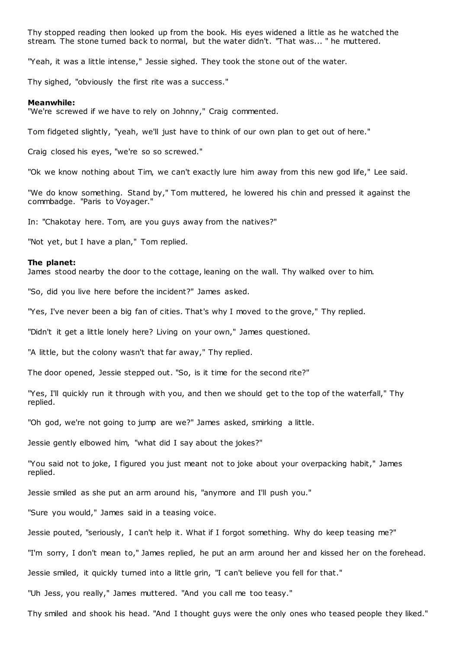Thy stopped reading then looked up from the book. His eyes widened a little as he watched the stream. The stone turned back to normal, but the water didn't. "That was... " he muttered.

"Yeah, it was a little intense," Jessie sighed. They took the stone out of the water.

Thy sighed, "obviously the first rite was a success."

#### **Meanwhile:**

"We're screwed if we have to rely on Johnny," Craig commented.

Tom fidgeted slightly, "yeah, we'll just have to think of our own plan to get out of here."

Craig closed his eyes, "we're so so screwed."

"Ok we know nothing about Tim, we can't exactly lure him away from this new god life," Lee said.

"We do know something. Stand by," Tom muttered, he lowered his chin and pressed it against the commbadge. "Paris to Voyager."

In: "Chakotay here. Tom, are you guys away from the natives?"

"Not yet, but I have a plan," Tom replied.

#### **The planet:**

James stood nearby the door to the cottage, leaning on the wall. Thy walked over to him.

"So, did you live here before the incident?" James asked.

"Yes, I've never been a big fan of cities. That's why I moved to the grove," Thy replied.

"Didn't it get a little lonely here? Living on your own," James questioned.

"A little, but the colony wasn't that far away," Thy replied.

The door opened, Jessie stepped out. "So, is it time for the second rite?"

"Yes, I'll quickly run it through with you, and then we should get to the top of the waterfall," Thy replied.

"Oh god, we're not going to jump are we?" James asked, smirking a little.

Jessie gently elbowed him, "what did I say about the jokes?"

"You said not to joke, I figured you just meant not to joke about your overpacking habit," James replied.

Jessie smiled as she put an arm around his, "anymore and I'll push you."

"Sure you would," James said in a teasing voice.

Jessie pouted, "seriously, I can't help it. What if I forgot something. Why do keep teasing me?"

"I'm sorry, I don't mean to," James replied, he put an arm around her and kissed her on the forehead.

Jessie smiled, it quickly turned into a little grin, "I can't believe you fell for that."

"Uh Jess, you really," James muttered. "And you call me too teasy."

Thy smiled and shook his head. "And I thought guys were the only ones who teased people they liked."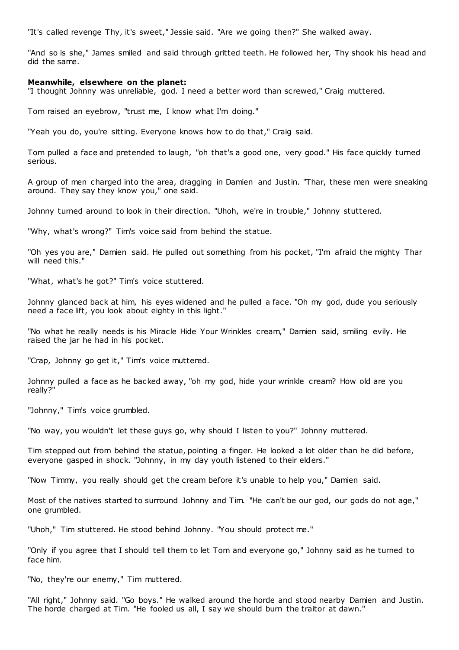"It's called revenge Thy, it's sweet," Jessie said. "Are we going then?" She walked away.

"And so is she," James smiled and said through gritted teeth. He followed her, Thy shook his head and did the same.

### **Meanwhile, elsewhere on the planet:**

"I thought Johnny was unreliable, god. I need a better word than screwed," Craig muttered.

Tom raised an eyebrow, "trust me, I know what I'm doing."

"Yeah you do, you're sitting. Everyone knows how to do that," Craig said.

Tom pulled a face and pretended to laugh, "oh that's a good one, very good." His face quickly turned serious.

A group of men charged into the area, dragging in Damien and Justin. "Thar, these men were sneaking around. They say they know you," one said.

Johnny turned around to look in their direction. "Uhoh, we're in trouble," Johnny stuttered.

"Why, what's wrong?" Tim's voice said from behind the statue.

"Oh yes you are," Damien said. He pulled out something from his pocket, "I'm afraid the mighty Thar will need this."

"What, what's he got?" Tim's voice stuttered.

Johnny glanced back at him, his eyes widened and he pulled a face. "Oh my god, dude you seriously need a face lift, you look about eighty in this light."

"No what he really needs is his Miracle Hide Your Wrinkles cream," Damien said, smiling evily. He raised the jar he had in his pocket.

"Crap, Johnny go get it," Tim's voice muttered.

Johnny pulled a face as he backed away, "oh my god, hide your wrinkle cream? How old are you really?"

"Johnny," Tim's voice grumbled.

"No way, you wouldn't let these guys go, why should I listen to you?" Johnny muttered.

Tim stepped out from behind the statue, pointing a finger. He looked a lot older than he did before, everyone gasped in shock. "Johnny, in my day youth listened to their elders."

"Now Timmy, you really should get the cream before it's unable to help you," Damien said.

Most of the natives started to surround Johnny and Tim. "He can't be our god, our gods do not age," one grumbled.

"Uhoh," Tim stuttered. He stood behind Johnny. "You should protect me."

"Only if you agree that I should tell them to let Tom and everyone go," Johnny said as he turned to face him.

"No, they're our enemy," Tim muttered.

"All right," Johnny said. "Go boys." He walked around the horde and stood nearby Damien and Justin. The horde charged at Tim. "He fooled us all, I say we should burn the traitor at dawn."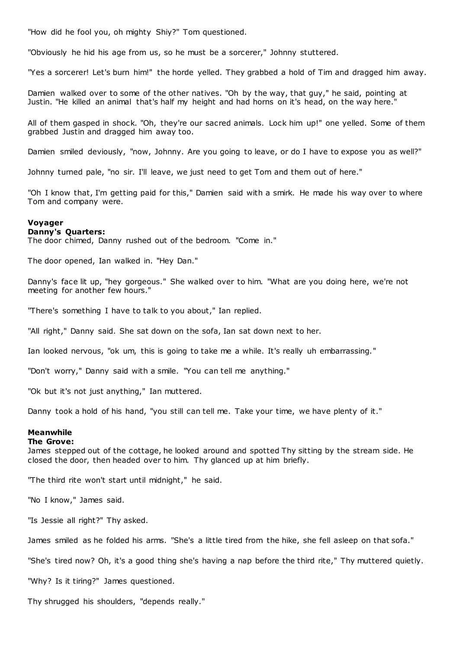"How did he fool you, oh mighty Shiy?" Tom questioned.

"Obviously he hid his age from us, so he must be a sorcerer," Johnny stuttered.

"Yes a sorcerer! Let's burn him!" the horde yelled. They grabbed a hold of Tim and dragged him away.

Damien walked over to some of the other natives. "Oh by the way, that guy," he said, pointing at Justin. "He killed an animal that's half my height and had horns on it's head, on the way here."

All of them gasped in shock. "Oh, they're our sacred animals. Lock him up!" one yelled. Some of them grabbed Justin and dragged him away too.

Damien smiled deviously, "now, Johnny. Are you going to leave, or do I have to expose you as well?"

Johnny turned pale, "no sir. I'll leave, we just need to get Tom and them out of here."

"Oh I know that, I'm getting paid for this," Damien said with a smirk. He made his way over to where Tom and company were.

### **Voyager**

## **Danny's Quarters:**

The door chimed, Danny rushed out of the bedroom. "Come in."

The door opened, Ian walked in. "Hey Dan."

Danny's face lit up, "hey gorgeous." She walked over to him. "What are you doing here, we're not meeting for another few hours."

"There's something I have to talk to you about," Ian replied.

"All right," Danny said. She sat down on the sofa, Ian sat down next to her.

Ian looked nervous, "ok um, this is going to take me a while. It's really uh embarrassing."

"Don't worry," Danny said with a smile. "You can tell me anything."

"Ok but it's not just anything," Ian muttered.

Danny took a hold of his hand, "you still can tell me. Take your time, we have plenty of it."

### **Meanwhile**

#### **The Grove:**

James stepped out of the cottage, he looked around and spotted Thy sitting by the stream side. He closed the door, then headed over to him. Thy glanced up at him briefly.

"The third rite won't start until midnight," he said.

"No I know," James said.

"Is Jessie all right?" Thy asked.

James smiled as he folded his arms. "She's a little tired from the hike, she fell asleep on that sofa."

"She's tired now? Oh, it's a good thing she's having a nap before the third rite," Thy muttered quietly.

"Why? Is it tiring?" James questioned.

Thy shrugged his shoulders, "depends really."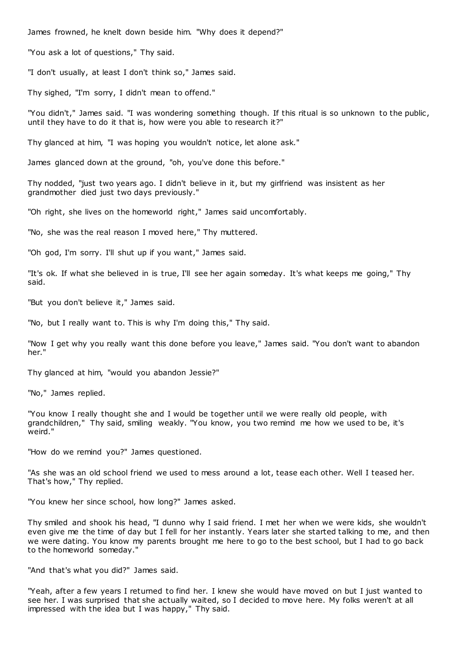James frowned, he knelt down beside him. "Why does it depend?"

"You ask a lot of questions," Thy said.

"I don't usually, at least I don't think so," James said.

Thy sighed, "I'm sorry, I didn't mean to offend."

"You didn't," James said. "I was wondering something though. If this ritual is so unknown to the public, until they have to do it that is, how were you able to research it?"

Thy glanced at him, "I was hoping you wouldn't notice, let alone ask."

James glanced down at the ground, "oh, you've done this before."

Thy nodded, "just two years ago. I didn't believe in it, but my girlfriend was insistent as her grandmother died just two days previously."

"Oh right, she lives on the homeworld right," James said uncomfortably.

"No, she was the real reason I moved here," Thy muttered.

"Oh god, I'm sorry. I'll shut up if you want," James said.

"It's ok. If what she believed in is true, I'll see her again someday. It's what keeps me going," Thy said.

"But you don't believe it," James said.

"No, but I really want to. This is why I'm doing this," Thy said.

"Now I get why you really want this done before you leave," James said. "You don't want to abandon her."

Thy glanced at him, "would you abandon Jessie?"

"No," James replied.

"You know I really thought she and I would be together until we were really old people, with grandchildren," Thy said, smiling weakly. "You know, you two remind me how we used to be, it's weird."

"How do we remind you?" James questioned.

"As she was an old school friend we used to mess around a lot, tease each other. Well I teased her. That's how," Thy replied.

"You knew her since school, how long?" James asked.

Thy smiled and shook his head, "I dunno why I said friend. I met her when we were kids, she wouldn't even give me the time of day but I fell for her instantly. Years later she started talking to me, and then we were dating. You know my parents brought me here to go to the best school, but I had to go back to the homeworld someday."

"And that's what you did?" James said.

"Yeah, after a few years I returned to find her. I knew she would have moved on but I just wanted to see her. I was surprised that she actually waited, so I decided to move here. My folks weren't at all impressed with the idea but I was happy," Thy said.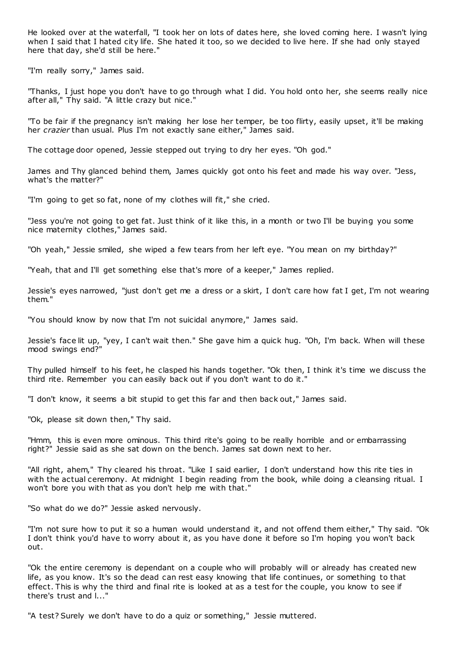He looked over at the waterfall, "I took her on lots of dates here, she loved coming here. I wasn't lying when I said that I hated city life. She hated it too, so we decided to live here. If she had only stayed here that day, she'd still be here."

"I'm really sorry," James said.

"Thanks, I just hope you don't have to go through what I did. You hold onto her, she seems really nice after all," Thy said. "A little crazy but nice."

"To be fair if the pregnancy isn't making her lose her temper, be too flirty, easily upset, it'll be making her *crazier* than usual. Plus I'm not exactly sane either," James said.

The cottage door opened, Jessie stepped out trying to dry her eyes. "Oh god."

James and Thy glanced behind them, James quickly got onto his feet and made his way over. "Jess, what's the matter?"

"I'm going to get so fat, none of my clothes will fit," she cried.

"Jess you're not going to get fat. Just think of it like this, in a month or two I'll be buying you some nice maternity clothes," James said.

"Oh yeah," Jessie smiled, she wiped a few tears from her left eye. "You mean on my birthday?"

"Yeah, that and I'll get something else that's more of a keeper," James replied.

Jessie's eyes narrowed, "just don't get me a dress or a skirt, I don't care how fat I get, I'm not wearing them."

"You should know by now that I'm not suicidal anymore," James said.

Jessie's face lit up, "yey, I can't wait then." She gave him a quick hug. "Oh, I'm back. When will these mood swings end?"

Thy pulled himself to his feet, he clasped his hands together. "Ok then, I think it's time we discuss the third rite. Remember you can easily back out if you don't want to do it."

"I don't know, it seems a bit stupid to get this far and then back out," James said.

"Ok, please sit down then," Thy said.

"Hmm, this is even more ominous. This third rite's going to be really horrible and or embarrassing right?" Jessie said as she sat down on the bench. James sat down next to her.

"All right, ahem," Thy cleared his throat. "Like I said earlier, I don't understand how this rite ties in with the actual ceremony. At midnight I begin reading from the book, while doing a cleansing ritual. I won't bore you with that as you don't help me with that."

"So what do we do?" Jessie asked nervously.

"I'm not sure how to put it so a human would understand it, and not offend them either," Thy said. "Ok I don't think you'd have to worry about it, as you have done it before so I'm hoping you won't back out.

"Ok the entire ceremony is dependant on a couple who will probably will or already has created new life, as you know. It's so the dead can rest easy knowing that life continues, or something to that effect. This is why the third and final rite is looked at as a test for the couple, you know to see if there's trust and l..."

"A test? Surely we don't have to do a quiz or something," Jessie muttered.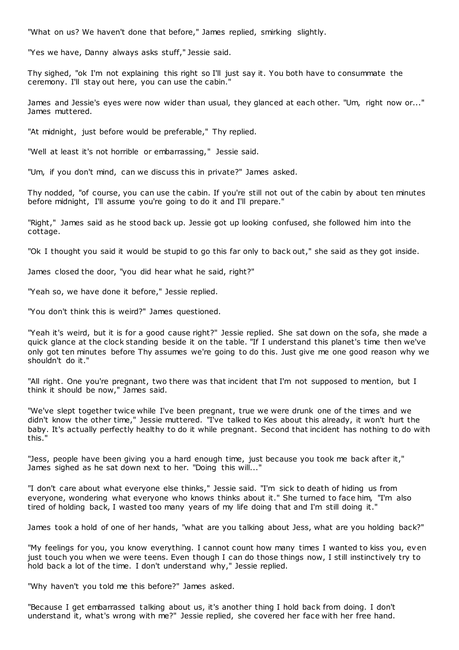"What on us? We haven't done that before," James replied, smirking slightly.

"Yes we have, Danny always asks stuff," Jessie said.

Thy sighed, "ok I'm not explaining this right so I'll just say it. You both have to consummate the ceremony. I'll stay out here, you can use the cabin."

James and Jessie's eyes were now wider than usual, they glanced at each other. "Um, right now or..." James muttered.

"At midnight, just before would be preferable," Thy replied.

"Well at least it's not horrible or embarrassing," Jessie said.

"Um, if you don't mind, can we discuss this in private?" James asked.

Thy nodded, "of course, you can use the cabin. If you're still not out of the cabin by about ten minutes before midnight, I'll assume you're going to do it and I'll prepare."

"Right," James said as he stood back up. Jessie got up looking confused, she followed him into the cottage.

"Ok I thought you said it would be stupid to go this far only to back out," she said as they got inside.

James closed the door, "you did hear what he said, right?"

"Yeah so, we have done it before," Jessie replied.

"You don't think this is weird?" James questioned.

"Yeah it's weird, but it is for a good cause right?" Jessie replied. She sat down on the sofa, she made a quick glance at the clock standing beside it on the table. "If I understand this planet's time then we've only got ten minutes before Thy assumes we're going to do this. Just give me one good reason why we shouldn't do it."

"All right. One you're pregnant, two there was that incident that I'm not supposed to mention, but I think it should be now," James said.

"We've slept together twice while I've been pregnant, true we were drunk one of the times and we didn't know the other time," Jessie muttered. "I've talked to Kes about this already, it won't hurt the baby. It's actually perfectly healthy to do it while pregnant. Second that incident has nothing to do with this."

"Jess, people have been giving you a hard enough time, just because you took me back after it," James sighed as he sat down next to her. "Doing this will..."

"I don't care about what everyone else thinks," Jessie said. "I'm sick to death of hiding us from everyone, wondering what everyone who knows thinks about it." She turned to face him, "I'm also tired of holding back, I wasted too many years of my life doing that and I'm still doing it."

James took a hold of one of her hands, "what are you talking about Jess, what are you holding back?"

"My feelings for you, you know everything. I cannot count how many times I wanted to kiss you, ev en just touch you when we were teens. Even though I can do those things now, I still instinctively try to hold back a lot of the time. I don't understand why," Jessie replied.

"Why haven't you told me this before?" James asked.

"Because I get embarrassed talking about us, it's another thing I hold back from doing. I don't understand it, what's wrong with me?" Jessie replied, she covered her face with her free hand.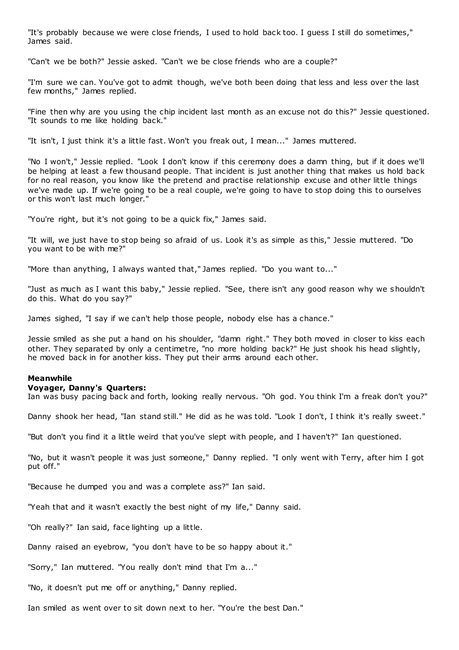"It's probably because we were close friends, I used to hold back too. I guess I still do sometimes," James said.

"Can't we be both?" Jessie asked. "Can't we be close friends who are a couple?"

"I'm sure we can. You've got to admit though, we've both been doing that less and less over the last few months," James replied.

"Fine then why are you using the chip incident last month as an excuse not do this?" Jessie questioned. "It sounds to me like holding back."

"It isn't, I just think it's a little fast. Won't you freak out, I mean..." James muttered.

"No I won't," Jessie replied. "Look I don't know if this ceremony does a damn thing, but if it does we'll be helping at least a few thousand people. That incident is just another thing that makes us hold back for no real reason, you know like the pretend and practise relationship excuse and other little things we've made up. If we're going to be a real couple, we're going to have to stop doing this to ourselves or this won't last much longer."

"You're right, but it's not going to be a quick fix," James said.

"It will, we just have to stop being so afraid of us. Look it's as simple as this," Jessie muttered. "Do you want to be with me?"

"More than anything, I always wanted that," James replied. "Do you want to..."

"Just as much as I want this baby," Jessie replied. "See, there isn't any good reason why we shouldn't do this. What do you say?"

James sighed, "I say if we can't help those people, nobody else has a chance."

Jessie smiled as she put a hand on his shoulder, "damn right." They both moved in closer to kiss each other. They separated by only a centimetre, "no more holding back?" He just shook his head slightly, he moved back in for another kiss. They put their arms around each other.

## **Meanwhile**

### **Voyager, Danny's Quarters:**

Ian was busy pacing back and forth, looking really nervous. "Oh god. You think I'm a freak don't you?"

Danny shook her head, "Ian stand still." He did as he was told. "Look I don't, I think it's really sweet."

"But don't you find it a little weird that you've slept with people, and I haven't?" Ian questioned.

"No, but it wasn't people it was just someone," Danny replied. "I only went with Terry, after him I got put off."

"Because he dumped you and was a complete ass?" Ian said.

"Yeah that and it wasn't exactly the best night of my life," Danny said.

"Oh really?" Ian said, face lighting up a little.

Danny raised an eyebrow, "you don't have to be so happy about it."

"Sorry," Ian muttered. "You really don't mind that I'm a..."

"No, it doesn't put me off or anything," Danny replied.

Ian smiled as went over to sit down next to her. "You're the best Dan."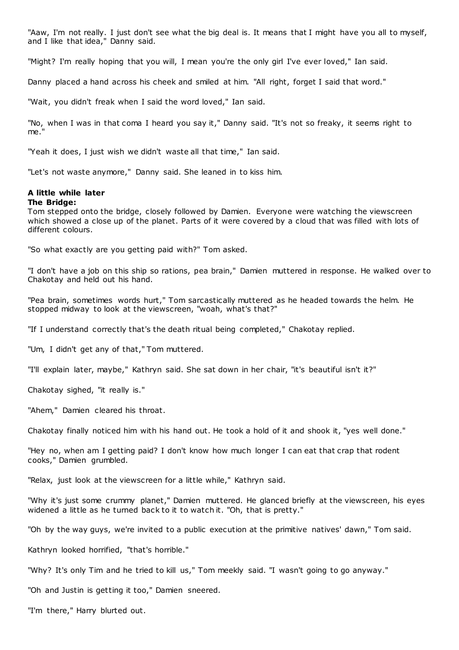"Aaw, I'm not really. I just don't see what the big deal is. It means that I might have you all to myself, and I like that idea," Danny said.

"Might? I'm really hoping that you will, I mean you're the only girl I've ever loved," Ian said.

Danny placed a hand across his cheek and smiled at him. "All right, forget I said that word."

"Wait, you didn't freak when I said the word loved," Ian said.

"No, when I was in that coma I heard you say it," Danny said. "It's not so freaky, it seems right to me."

"Yeah it does, I just wish we didn't waste all that time," Ian said.

"Let's not waste anymore," Danny said. She leaned in to kiss him.

## **A little while later The Bridge:**

Tom stepped onto the bridge, closely followed by Damien. Everyone were watching the viewscreen which showed a close up of the planet. Parts of it were covered by a cloud that was filled with lots of different colours.

"So what exactly are you getting paid with?" Tom asked.

"I don't have a job on this ship so rations, pea brain," Damien muttered in response. He walked over to Chakotay and held out his hand.

"Pea brain, sometimes words hurt," Tom sarcastically muttered as he headed towards the helm. He stopped midway to look at the viewscreen, "woah, what's that?"

"If I understand correctly that's the death ritual being completed," Chakotay replied.

"Um, I didn't get any of that," Tom muttered.

"I'll explain later, maybe," Kathryn said. She sat down in her chair, "it's beautiful isn't it?"

Chakotay sighed, "it really is."

"Ahem," Damien cleared his throat.

Chakotay finally noticed him with his hand out. He took a hold of it and shook it, "yes well done."

"Hey no, when am I getting paid? I don't know how much longer I can eat that crap that rodent cooks," Damien grumbled.

"Relax, just look at the viewscreen for a little while," Kathryn said.

"Why it's just some crummy planet," Damien muttered. He glanced briefly at the viewscreen, his eyes widened a little as he turned back to it to watch it. "Oh, that is pretty."

"Oh by the way guys, we're invited to a public execution at the primitive natives' dawn," Tom said.

Kathryn looked horrified, "that's horrible."

"Why? It's only Tim and he tried to kill us," Tom meekly said. "I wasn't going to go anyway."

"Oh and Justin is getting it too," Damien sneered.

"I'm there," Harry blurted out.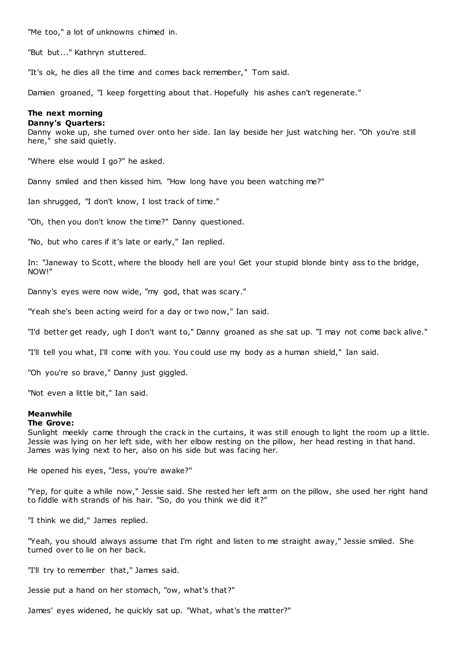"Me too," a lot of unknowns chimed in.

"But but..." Kathryn stuttered.

"It's ok, he dies all the time and comes back remember," Tom said.

Damien groaned, "I keep forgetting about that. Hopefully his ashes can't regenerate."

## **The next morning**

## **Danny's Quarters:**

Danny woke up, she turned over onto her side. Ian lay beside her just watching her. "Oh you're still here," she said quietly.

"Where else would I go?" he asked.

Danny smiled and then kissed him. "How long have you been watching me?"

Ian shrugged, "I don't know, I lost track of time."

"Oh, then you don't know the time?" Danny questioned.

"No, but who cares if it's late or early," Ian replied.

In: "Janeway to Scott, where the bloody hell are you! Get your stupid blonde binty ass to the bridge, NOW!"

Danny's eyes were now wide, "my god, that was scary."

"Yeah she's been acting weird for a day or two now," Ian said.

"I'd better get ready, ugh I don't want to," Danny groaned as she sat up. "I may not come back alive."

"I'll tell you what, I'll come with you. You could use my body as a human shield," Ian said.

"Oh you're so brave," Danny just giggled.

"Not even a little bit," Ian said.

## **Meanwhile**

## **The Grove:**

Sunlight meekly came through the crack in the curtains, it was still enough to light the room up a little. Jessie was lying on her left side, with her elbow resting on the pillow, her head resting in that hand. James was lying next to her, also on his side but was facing her.

He opened his eyes, "Jess, you're awake?"

"Yep, for quite a while now," Jessie said. She rested her left arm on the pillow, she used her right hand to fiddle with strands of his hair. "So, do you think we did it?"

"I think we did," James replied.

"Yeah, you should always assume that I'm right and listen to me straight away," Jessie smiled. She turned over to lie on her back.

"I'll try to remember that," James said.

Jessie put a hand on her stomach, "ow, what's that?"

James' eyes widened, he quickly sat up. "What, what's the matter?"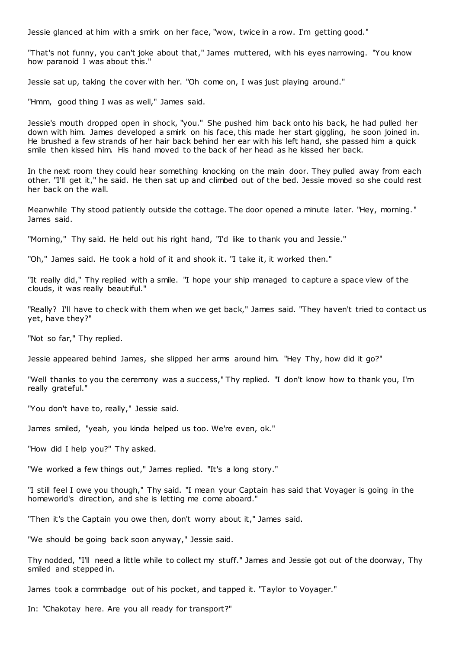Jessie glanced at him with a smirk on her face, "wow, twice in a row. I'm getting good."

"That's not funny, you can't joke about that," James muttered, with his eyes narrowing. "You know how paranoid I was about this."

Jessie sat up, taking the cover with her. "Oh come on, I was just playing around."

"Hmm, good thing I was as well," James said.

Jessie's mouth dropped open in shock, "you." She pushed him back onto his back, he had pulled her down with him. James developed a smirk on his face, this made her start giggling, he soon joined in. He brushed a few strands of her hair back behind her ear with his left hand, she passed him a quick smile then kissed him. His hand moved to the back of her head as he kissed her back.

In the next room they could hear something knocking on the main door. They pulled away from each other. "I'll get it," he said. He then sat up and climbed out of the bed. Jessie moved so she could rest her back on the wall.

Meanwhile Thy stood patiently outside the cottage. The door opened a minute later. "Hey, morning." James said.

"Morning," Thy said. He held out his right hand, "I'd like to thank you and Jessie."

"Oh," James said. He took a hold of it and shook it. "I take it, it worked then."

"It really did," Thy replied with a smile. "I hope your ship managed to capture a space view of the clouds, it was really beautiful."

"Really? I'll have to check with them when we get back," James said. "They haven't tried to contact us yet, have they?"

"Not so far," Thy replied.

Jessie appeared behind James, she slipped her arms around him. "Hey Thy, how did it go?"

"Well thanks to you the ceremony was a success," Thy replied. "I don't know how to thank you, I'm really grateful."

"You don't have to, really," Jessie said.

James smiled, "yeah, you kinda helped us too. We're even, ok."

"How did I help you?" Thy asked.

"We worked a few things out," James replied. "It's a long story."

"I still feel I owe you though," Thy said. "I mean your Captain has said that Voyager is going in the homeworld's direction, and she is letting me come aboard."

"Then it's the Captain you owe then, don't worry about it," James said.

"We should be going back soon anyway," Jessie said.

Thy nodded, "I'll need a little while to collect my stuff." James and Jessie got out of the doorway, Thy smiled and stepped in.

James took a commbadge out of his pocket, and tapped it. "Taylor to Voyager."

In: "Chakotay here. Are you all ready for transport?"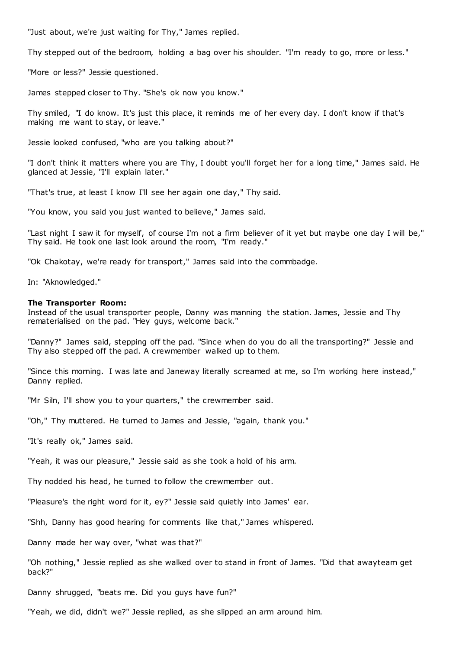"Just about, we're just waiting for Thy," James replied.

Thy stepped out of the bedroom, holding a bag over his shoulder. "I'm ready to go, more or less."

"More or less?" Jessie questioned.

James stepped closer to Thy. "She's ok now you know."

Thy smiled, "I do know. It's just this place, it reminds me of her every day. I don't know if that's making me want to stay, or leave."

Jessie looked confused, "who are you talking about?"

"I don't think it matters where you are Thy, I doubt you'll forget her for a long time," James said. He glanced at Jessie, "I'll explain later."

"That's true, at least I know I'll see her again one day," Thy said.

"You know, you said you just wanted to believe," James said.

"Last night I saw it for myself, of course I'm not a firm believer of it yet but maybe one day I will be," Thy said. He took one last look around the room, "I'm ready."

"Ok Chakotay, we're ready for transport," James said into the commbadge.

In: "Aknowledged."

## **The Transporter Room:**

Instead of the usual transporter people, Danny was manning the station. James, Jessie and Thy rematerialised on the pad. "Hey guys, welcome back."

"Danny?" James said, stepping off the pad. "Since when do you do all the transporting?" Jessie and Thy also stepped off the pad. A crewmember walked up to them.

"Since this morning. I was late and Janeway literally screamed at me, so I'm working here instead," Danny replied.

"Mr Siln, I'll show you to your quarters," the crewmember said.

"Oh," Thy muttered. He turned to James and Jessie, "again, thank you."

"It's really ok," James said.

"Yeah, it was our pleasure," Jessie said as she took a hold of his arm.

Thy nodded his head, he turned to follow the crewmember out.

"Pleasure's the right word for it, ey?" Jessie said quietly into James' ear.

"Shh, Danny has good hearing for comments like that," James whispered.

Danny made her way over, "what was that?"

"Oh nothing," Jessie replied as she walked over to stand in front of James. "Did that awayteam get back?"

Danny shrugged, "beats me. Did you guys have fun?"

"Yeah, we did, didn't we?" Jessie replied, as she slipped an arm around him.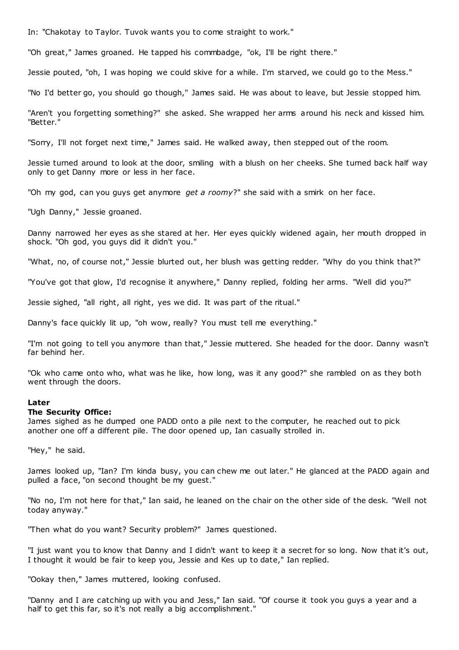In: "Chakotay to Taylor. Tuvok wants you to come straight to work."

"Oh great," James groaned. He tapped his commbadge, "ok, I'll be right there."

Jessie pouted, "oh, I was hoping we could skive for a while. I'm starved, we could go to the Mess."

"No I'd better go, you should go though," James said. He was about to leave, but Jessie stopped him.

"Aren't you forgetting something?" she asked. She wrapped her arms around his neck and kissed him. "Better."

"Sorry, I'll not forget next time," James said. He walked away, then stepped out of the room.

Jessie turned around to look at the door, smiling with a blush on her cheeks. She turned back half way only to get Danny more or less in her face.

"Oh my god, can you guys get anymore *get a roomy*?" she said with a smirk on her face.

"Ugh Danny," Jessie groaned.

Danny narrowed her eyes as she stared at her. Her eyes quickly widened again, her mouth dropped in shock. "Oh god, you guys did it didn't you."

"What, no, of course not," Jessie blurted out, her blush was getting redder. "Why do you think that?"

"You've got that glow, I'd recognise it anywhere," Danny replied, folding her arms. "Well did you?"

Jessie sighed, "all right, all right, yes we did. It was part of the ritual."

Danny's face quickly lit up, "oh wow, really? You must tell me everything."

"I'm not going to tell you anymore than that," Jessie muttered. She headed for the door. Danny wasn't far behind her.

"Ok who came onto who, what was he like, how long, was it any good?" she rambled on as they both went through the doors.

## **Later**

## **The Security Office:**

James sighed as he dumped one PADD onto a pile next to the computer, he reached out to pick another one off a different pile. The door opened up, Ian casually strolled in.

"Hey," he said.

James looked up, "Ian? I'm kinda busy, you can chew me out later." He glanced at the PADD again and pulled a face, "on second thought be my guest."

"No no, I'm not here for that," Ian said, he leaned on the chair on the other side of the desk. "Well not today anyway."

"Then what do you want? Security problem?" James questioned.

"I just want you to know that Danny and I didn't want to keep it a secret for so long. Now that it's out, I thought it would be fair to keep you, Jessie and Kes up to date," Ian replied.

"Ookay then," James muttered, looking confused.

"Danny and I are catching up with you and Jess," Ian said. "Of course it took you guys a year and a half to get this far, so it's not really a big accomplishment."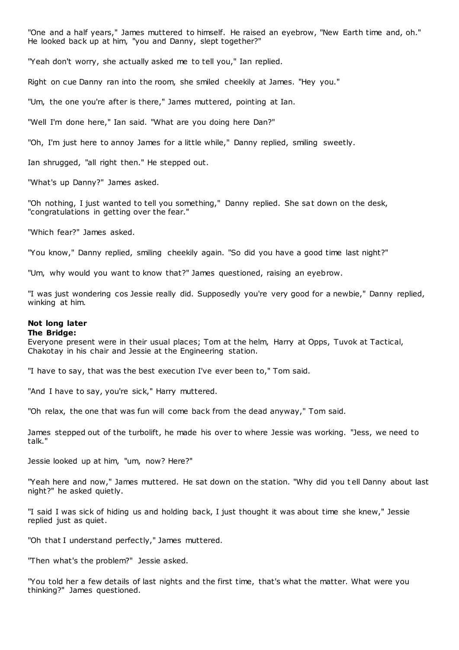"One and a half years," James muttered to himself. He raised an eyebrow, "New Earth time and, oh." He looked back up at him, "you and Danny, slept together?"

"Yeah don't worry, she actually asked me to tell you," Ian replied.

Right on cue Danny ran into the room, she smiled cheekily at James. "Hey you."

"Um, the one you're after is there," James muttered, pointing at Ian.

"Well I'm done here," Ian said. "What are you doing here Dan?"

"Oh, I'm just here to annoy James for a little while," Danny replied, smiling sweetly.

Ian shrugged, "all right then." He stepped out.

"What's up Danny?" James asked.

"Oh nothing, I just wanted to tell you something," Danny replied. She sat down on the desk, "congratulations in getting over the fear."

"Which fear?" James asked.

"You know," Danny replied, smiling cheekily again. "So did you have a good time last night?"

"Um, why would you want to know that?" James questioned, raising an eyebrow.

"I was just wondering cos Jessie really did. Supposedly you're very good for a newbie," Danny replied, winking at him.

# **Not long later**

## **The Bridge:**

Everyone present were in their usual places; Tom at the helm, Harry at Opps, Tuvok at Tactical, Chakotay in his chair and Jessie at the Engineering station.

"I have to say, that was the best execution I've ever been to," Tom said.

"And I have to say, you're sick," Harry muttered.

"Oh relax, the one that was fun will come back from the dead anyway," Tom said.

James stepped out of the turbolift, he made his over to where Jessie was working. "Jess, we need to talk."

Jessie looked up at him, "um, now? Here?"

"Yeah here and now," James muttered. He sat down on the station. "Why did you t ell Danny about last night?" he asked quietly.

"I said I was sick of hiding us and holding back, I just thought it was about time she knew," Jessie replied just as quiet.

"Oh that I understand perfectly," James muttered.

"Then what's the problem?" Jessie asked.

"You told her a few details of last nights and the first time, that's what the matter. What were you thinking?" James questioned.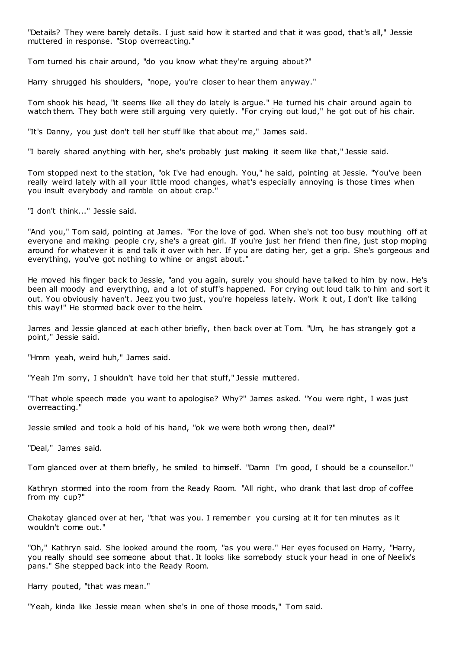"Details? They were barely details. I just said how it started and that it was good, that's all," Jessie muttered in response. "Stop overreacting."

Tom turned his chair around, "do you know what they're arguing about?"

Harry shrugged his shoulders, "nope, you're closer to hear them anyway."

Tom shook his head, "it seems like all they do lately is argue." He turned his chair around again to watch them. They both were still arguing very quietly. "For crying out loud," he got out of his chair.

"It's Danny, you just don't tell her stuff like that about me," James said.

"I barely shared anything with her, she's probably just making it seem like that," Jessie said.

Tom stopped next to the station, "ok I've had enough. You," he said, pointing at Jessie. "You've been really weird lately with all your little mood changes, what's especially annoying is those times when you insult everybody and ramble on about crap."

"I don't think..." Jessie said.

"And you," Tom said, pointing at James. "For the love of god. When she's not too busy mouthing off at everyone and making people cry, she's a great girl. If you're just her friend then fine, just stop moping around for whatever it is and talk it over with her. If you are dating her, get a grip. She's gorgeous and everything, you've got nothing to whine or angst about."

He moved his finger back to Jessie, "and you again, surely you should have talked to him by now. He's been all moody and everything, and a lot of stuff's happened. For crying out loud talk to him and sort it out. You obviously haven't. Jeez you two just, you're hopeless lately. Work it out, I don't like talking this way!" He stormed back over to the helm.

James and Jessie glanced at each other briefly, then back over at Tom. "Um, he has strangely got a point," Jessie said.

"Hmm yeah, weird huh," James said.

"Yeah I'm sorry, I shouldn't have told her that stuff," Jessie muttered.

"That whole speech made you want to apologise? Why?" James asked. "You were right, I was just overreacting."

Jessie smiled and took a hold of his hand, "ok we were both wrong then, deal?"

"Deal," James said.

Tom glanced over at them briefly, he smiled to himself. "Damn I'm good, I should be a counsellor."

Kathryn stormed into the room from the Ready Room. "All right, who drank that last drop of coffee from my cup?"

Chakotay glanced over at her, "that was you. I remember you cursing at it for ten minutes as it wouldn't come out."

"Oh," Kathryn said. She looked around the room, "as you were." Her eyes focused on Harry, "Harry, you really should see someone about that. It looks like somebody stuck your head in one of Neelix's pans." She stepped back into the Ready Room.

Harry pouted, "that was mean."

"Yeah, kinda like Jessie mean when she's in one of those moods," Tom said.